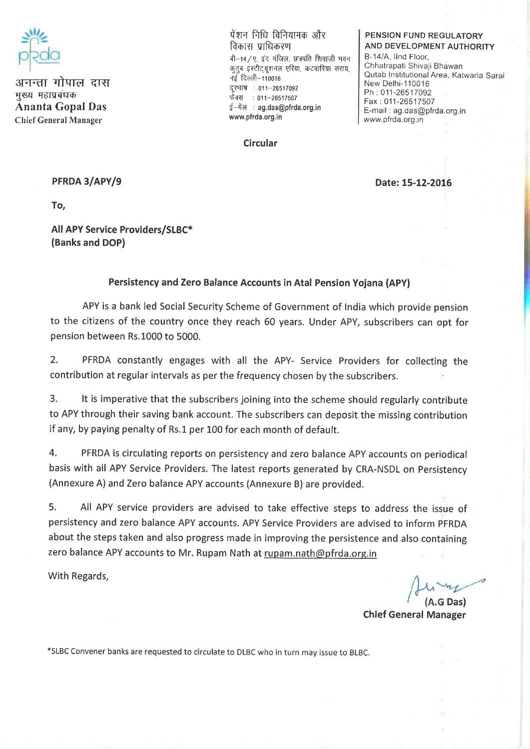

अनन्ता गोपाल दास मख्य महाप्रबंधक **Ananta Gopal Das Chief General Manager** 

पेंशन निधि विनियामक और विकास प्राधिकरण बी-14 / ए. डंद मंजिल, छत्रपति शिवाजी भवन कतब इंस्टीटयशनल एरिया, कटवारिया सराय. नई दिल्ली-110016 दरभाष : 011-26517092 फैक्स: 011-26517507 ई-मेल : ag.das@pfrda.org.in www.pfrda.org.in

## Circular

## PENSION FUND REGULATORY **AND DEVELOPMENT AUTHORITY**

B-14/A, IInd Floor, Chhatrapati Shivaii Bhawan Qutab Institutional Area, Katwaria Sarai New Delhi-110016 Ph: 011-26517092 Fax: 011-26517507 E-mail: ag.das@pfrda.org.in www.pfrda.org.in

## PFRDA 3/APY/9

Date: 15-12-2016

To.

All APY Service Providers/SLBC\* (Banks and DOP)

## Persistency and Zero Balance Accounts in Atal Pension Yojana (APY)

APY is a bank led Social Security Scheme of Government of India which provide pension to the citizens of the country once they reach 60 years. Under APY, subscribers can opt for pension between Rs.1000 to 5000.

 $2<sup>1</sup>$ PFRDA constantly engages with all the APY- Service Providers for collecting the contribution at regular intervals as per the frequency chosen by the subscribers.

It is imperative that the subscribers joining into the scheme should regularly contribute  $3.$ to APY through their saving bank account. The subscribers can deposit the missing contribution if any, by paying penalty of Rs.1 per 100 for each month of default.

 $\overline{4}$ . PFRDA is circulating reports on persistency and zero balance APY accounts on periodical basis with all APY Service Providers. The latest reports generated by CRA-NSDL on Persistency (Annexure A) and Zero balance APY accounts (Annexure B) are provided.

5. All APY service providers are advised to take effective steps to address the issue of persistency and zero balance APY accounts. APY Service Providers are advised to inform PFRDA about the steps taken and also progress made in improving the persistence and also containing zero balance APY accounts to Mr. Rupam Nath at rupam.nath@pfrda.org.in

With Regards,

**Chief General Manager** 

\*SLBC Convener banks are requested to circulate to DLBC who in turn may issue to BLBC.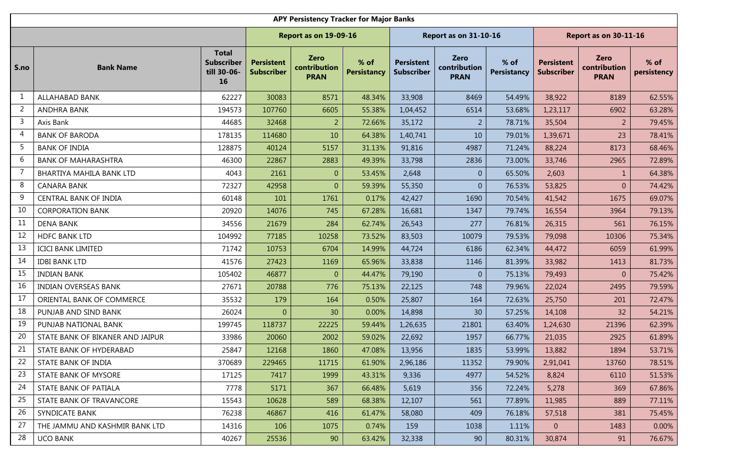|                | <b>APY Persistency Tracker for Major Banks</b><br><b>Report as on 31-10-16</b><br><b>Report as on 30-11-16</b><br><b>Report as on 19-09-16</b> |                                                        |                                        |                                            |                            |                                 |                                            |                            |                                        |                                            |                       |  |  |  |
|----------------|------------------------------------------------------------------------------------------------------------------------------------------------|--------------------------------------------------------|----------------------------------------|--------------------------------------------|----------------------------|---------------------------------|--------------------------------------------|----------------------------|----------------------------------------|--------------------------------------------|-----------------------|--|--|--|
|                |                                                                                                                                                |                                                        |                                        |                                            |                            |                                 |                                            |                            |                                        |                                            |                       |  |  |  |
| S.no           | <b>Bank Name</b>                                                                                                                               | <b>Total</b><br><b>Subscriber</b><br>till 30-06-<br>16 | <b>Persistent</b><br><b>Subscriber</b> | <b>Zero</b><br>contribution<br><b>PRAN</b> | % of<br><b>Persistancy</b> | <b>Persistent</b><br>Subscriber | <b>Zero</b><br>contribution<br><b>PRAN</b> | % of<br><b>Persistancy</b> | <b>Persistent</b><br><b>Subscriber</b> | <b>Zero</b><br>contribution<br><b>PRAN</b> | $%$ of<br>persistency |  |  |  |
| 1              | <b>ALLAHABAD BANK</b>                                                                                                                          | 62227                                                  | 30083                                  | 8571                                       | 48.34%                     | 33,908                          | 8469                                       | 54.49%                     | 38,922                                 | 8189                                       | 62.55%                |  |  |  |
| $\overline{2}$ | <b>ANDHRA BANK</b>                                                                                                                             | 194573                                                 | 107760                                 | 6605                                       | 55.38%                     | 1,04,452                        | 6514                                       | 53.68%                     | 1,23,117                               | 6902                                       | 63.28%                |  |  |  |
| 3              | Axis Bank                                                                                                                                      | 44685                                                  | 32468                                  | $\overline{2}$                             | 72.66%                     | 35,172                          | $\overline{2}$                             | 78.71%                     | 35,504                                 | $\overline{2}$                             | 79.45%                |  |  |  |
| 4              | <b>BANK OF BARODA</b>                                                                                                                          | 178135                                                 | 114680                                 | 10                                         | 64.38%                     | 1,40,741                        | 10                                         | 79.01%                     | 1,39,671                               | 23                                         | 78.41%                |  |  |  |
| 5              | <b>BANK OF INDIA</b>                                                                                                                           | 128875                                                 | 40124                                  | 5157                                       | 31.13%                     | 91,816                          | 4987                                       | 71.24%                     | 88,224                                 | 8173                                       | 68.46%                |  |  |  |
| 6              | <b>BANK OF MAHARASHTRA</b>                                                                                                                     | 46300                                                  | 22867                                  | 2883                                       | 49.39%                     | 33,798                          | 2836                                       | 73.00%                     | 33,746                                 | 2965                                       | 72.89%                |  |  |  |
| 7              | BHARTIYA MAHILA BANK LTD                                                                                                                       | 4043                                                   | 2161                                   | $\boldsymbol{0}$                           | 53.45%                     | 2,648                           | $\overline{0}$                             | 65.50%                     | 2,603                                  | $\mathbf{1}$                               | 64.38%                |  |  |  |
| 8              | <b>CANARA BANK</b>                                                                                                                             | 72327                                                  | 42958                                  | $\boldsymbol{0}$                           | 59.39%                     | 55,350                          | $\overline{0}$                             | 76.53%                     | 53,825                                 | $\overline{0}$                             | 74.42%                |  |  |  |
| 9              | CENTRAL BANK OF INDIA                                                                                                                          | 60148                                                  | 101                                    | 1761                                       | 0.17%                      | 42,427                          | 1690                                       | 70.54%                     | 41,542                                 | 1675                                       | 69.07%                |  |  |  |
| 10             | <b>CORPORATION BANK</b>                                                                                                                        | 20920                                                  | 14076                                  | 745                                        | 67.28%                     | 16,681                          | 1347                                       | 79.74%                     | 16,554                                 | 3964                                       | 79.13%                |  |  |  |
| 11             | <b>DENA BANK</b>                                                                                                                               | 34556                                                  | 21679                                  | 284                                        | 62.74%                     | 26,543                          | 277                                        | 76.81%                     | 26,315                                 | 561                                        | 76.15%                |  |  |  |
| 12             | <b>HDFC BANK LTD</b>                                                                                                                           | 104992                                                 | 77185                                  | 10258                                      | 73.52%                     | 83,503                          | 10079                                      | 79.53%                     | 79,098                                 | 10306                                      | 75.34%                |  |  |  |
| 13             | <b>ICICI BANK LIMITED</b>                                                                                                                      | 71742                                                  | 10753                                  | 6704                                       | 14.99%                     | 44,724                          | 6186                                       | 62.34%                     | 44,472                                 | 6059                                       | 61.99%                |  |  |  |
| 14             | <b>IDBI BANK LTD</b>                                                                                                                           | 41576                                                  | 27423                                  | 1169                                       | 65.96%                     | 33,838                          | 1146                                       | 81.39%                     | 33,982                                 | 1413                                       | 81.73%                |  |  |  |
| 15             | <b>INDIAN BANK</b>                                                                                                                             | 105402                                                 | 46877                                  | $\boldsymbol{0}$                           | 44.47%                     | 79,190                          | $\overline{0}$                             | 75.13%                     | 79,493                                 | $\overline{0}$                             | 75.42%                |  |  |  |
| 16             | <b>INDIAN OVERSEAS BANK</b>                                                                                                                    | 27671                                                  | 20788                                  | 776                                        | 75.13%                     | 22,125                          | 748                                        | 79.96%                     | 22,024                                 | 2495                                       | 79.59%                |  |  |  |
| 17             | ORIENTAL BANK OF COMMERCE                                                                                                                      | 35532                                                  | 179                                    | 164                                        | 0.50%                      | 25,807                          | 164                                        | 72.63%                     | 25,750                                 | 201                                        | 72.47%                |  |  |  |
| 18             | PUNJAB AND SIND BANK                                                                                                                           | 26024                                                  | $\theta$                               | 30                                         | 0.00%                      | 14,898                          | 30                                         | 57.25%                     | 14,108                                 | 32                                         | 54.21%                |  |  |  |
| 19             | PUNJAB NATIONAL BANK                                                                                                                           | 199745                                                 | 118737                                 | 22225                                      | 59.44%                     | 1,26,635                        | 21801                                      | 63.40%                     | 1,24,630                               | 21396                                      | 62.39%                |  |  |  |
| 20             | STATE BANK OF BIKANER AND JAIPUR                                                                                                               | 33986                                                  | 20060                                  | 2002                                       | 59.02%                     | 22,692                          | 1957                                       | 66.77%                     | 21,035                                 | 2925                                       | 61.89%                |  |  |  |
| 21             | STATE BANK OF HYDERABAD                                                                                                                        | 25847                                                  | 12168                                  | 1860                                       | 47.08%                     | 13,956                          | 1835                                       | 53.99%                     | 13,882                                 | 1894                                       | 53.71%                |  |  |  |
| 22             | STATE BANK OF INDIA                                                                                                                            | 370689                                                 | 229465                                 | 11715                                      | 61.90%                     | 2,96,186                        | 11352                                      | 79.90%                     | 2,91,041                               | 13760                                      | 78.51%                |  |  |  |
| 23             | STATE BANK OF MYSORE                                                                                                                           | 17125                                                  | 7417                                   | 1999                                       | 43.31%                     | 9,336                           | 4977                                       | 54.52%                     | 8,824                                  | 6110                                       | 51.53%                |  |  |  |
| 24             | STATE BANK OF PATIALA                                                                                                                          | 7778                                                   | 5171                                   | 367                                        | 66.48%                     | 5,619                           | 356                                        | 72.24%                     | 5,278                                  | 369                                        | 67.86%                |  |  |  |
| 25             | STATE BANK OF TRAVANCORE                                                                                                                       | 15543                                                  | 10628                                  | 589                                        | 68.38%                     | 12,107                          | 561                                        | 77.89%                     | 11,985                                 | 889                                        | 77.11%                |  |  |  |
| 26             | SYNDICATE BANK                                                                                                                                 | 76238                                                  | 46867                                  | 416                                        | 61.47%                     | 58,080                          | 409                                        | 76.18%                     | 57,518                                 | 381                                        | 75.45%                |  |  |  |
| 27             | THE JAMMU AND KASHMIR BANK LTD                                                                                                                 | 14316                                                  | 106                                    | 1075                                       | 0.74%                      | 159                             | 1038                                       | 1.11%                      | $\overline{0}$                         | 1483                                       | 0.00%                 |  |  |  |
| 28             | <b>UCO BANK</b>                                                                                                                                | 40267                                                  | 25536                                  | 90                                         | 63.42%                     | 32,338                          | 90                                         | 80.31%                     | 30,874                                 | 91                                         | 76.67%                |  |  |  |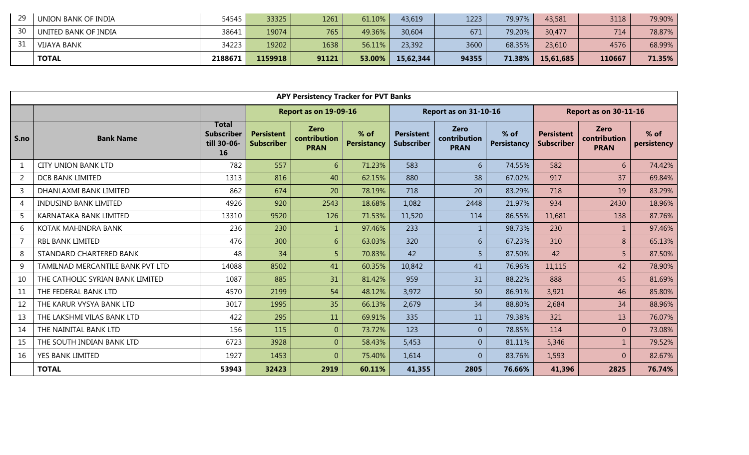| 29 | 54545<br>UNION BANK OF INDIA  | 33325   | 1261  | 61.10% | 43,619    | 1223  | 79.97% | 43,581    | 3118   | 79.90% |
|----|-------------------------------|---------|-------|--------|-----------|-------|--------|-----------|--------|--------|
| 30 | 38641<br>UNITED BANK OF INDIA | 19074   | 765   | 49.36% | 30,604    | 671   | 79.20% | 30,477    | 714    | 78.87% |
|    | 34223<br>VIJAYA BANK          | 19202   | 1638  | 56.11% | 23,392    | 3600  | 68.35% | 23,610    | 4576   | 68.99% |
|    | <b>TOTAL</b><br>2188671       | 1159918 | 91121 | 53.00% | 15,62,344 | 94355 | 71.38% | 15,61,685 | 110667 | 71.35% |

|                | <b>APY Persistency Tracker for PVT Banks</b><br><b>Report as on 31-10-16</b><br><b>Report as on 30-11-16</b> |                                                        |                                             |                             |                            |                                        |                                            |                            |                                        |                                            |                       |  |  |  |
|----------------|--------------------------------------------------------------------------------------------------------------|--------------------------------------------------------|---------------------------------------------|-----------------------------|----------------------------|----------------------------------------|--------------------------------------------|----------------------------|----------------------------------------|--------------------------------------------|-----------------------|--|--|--|
|                |                                                                                                              |                                                        | <b>Report as on 19-09-16</b><br><b>Zero</b> |                             |                            |                                        |                                            |                            |                                        |                                            |                       |  |  |  |
| S.no           | <b>Bank Name</b>                                                                                             | <b>Total</b><br><b>Subscriber</b><br>till 30-06-<br>16 | <b>Persistent</b><br><b>Subscriber</b>      | contribution<br><b>PRAN</b> | % of<br><b>Persistancy</b> | <b>Persistent</b><br><b>Subscriber</b> | <b>Zero</b><br>contribution<br><b>PRAN</b> | % of<br><b>Persistancy</b> | <b>Persistent</b><br><b>Subscriber</b> | <b>Zero</b><br>contribution<br><b>PRAN</b> | $%$ of<br>persistency |  |  |  |
| $\mathbf{1}$   | <b>CITY UNION BANK LTD</b>                                                                                   | 782                                                    | 557                                         | 6                           | 71.23%                     | 583                                    | 6                                          | 74.55%                     | 582                                    | 6                                          | 74.42%                |  |  |  |
| $\overline{2}$ | <b>DCB BANK LIMITED</b>                                                                                      | 1313                                                   | 816                                         | 40                          | 62.15%                     | 880                                    | 38                                         | 67.02%                     | 917                                    | 37                                         | 69.84%                |  |  |  |
| $\overline{3}$ | DHANLAXMI BANK LIMITED                                                                                       | 862                                                    | 674                                         | 20                          | 78.19%                     | 718                                    | 20                                         | 83.29%                     | 718                                    | 19                                         | 83.29%                |  |  |  |
| $\overline{4}$ | <b>INDUSIND BANK LIMITED</b>                                                                                 | 4926                                                   | 920                                         | 2543                        | 18.68%                     | 1,082                                  | 2448                                       | 21.97%                     | 934                                    | 2430                                       | 18.96%                |  |  |  |
| 5              | KARNATAKA BANK LIMITED                                                                                       | 13310                                                  | 9520                                        | 126                         | 71.53%                     | 11,520                                 | 114                                        | 86.55%                     | 11,681                                 | 138                                        | 87.76%                |  |  |  |
| 6              | KOTAK MAHINDRA BANK                                                                                          | 236                                                    | 230                                         | $\mathbf{1}$                | 97.46%                     | 233                                    | $\mathbf{1}$                               | 98.73%                     | 230                                    | $\mathbf{1}$                               | 97.46%                |  |  |  |
| $\overline{7}$ | RBL BANK LIMITED                                                                                             | 476                                                    | 300                                         | 6                           | 63.03%                     | 320                                    | 6                                          | 67.23%                     | 310                                    | 8                                          | 65.13%                |  |  |  |
| 8              | STANDARD CHARTERED BANK                                                                                      | 48                                                     | 34                                          | 5                           | 70.83%                     | 42                                     | 5                                          | 87.50%                     | 42                                     | 5                                          | 87.50%                |  |  |  |
| 9              | TAMILNAD MERCANTILE BANK PVT LTD                                                                             | 14088                                                  | 8502                                        | 41                          | 60.35%                     | 10,842                                 | 41                                         | 76.96%                     | 11,115                                 | 42                                         | 78.90%                |  |  |  |
| 10             | THE CATHOLIC SYRIAN BANK LIMITED                                                                             | 1087                                                   | 885                                         | 31                          | 81.42%                     | 959                                    | 31                                         | 88.22%                     | 888                                    | 45                                         | 81.69%                |  |  |  |
| 11             | THE FEDERAL BANK LTD                                                                                         | 4570                                                   | 2199                                        | 54                          | 48.12%                     | 3,972                                  | 50                                         | 86.91%                     | 3,921                                  | 46                                         | 85.80%                |  |  |  |
| 12             | THE KARUR VYSYA BANK LTD                                                                                     | 3017                                                   | 1995                                        | 35                          | 66.13%                     | 2,679                                  | 34                                         | 88.80%                     | 2,684                                  | 34                                         | 88.96%                |  |  |  |
| 13             | THE LAKSHMI VILAS BANK LTD                                                                                   | 422                                                    | 295                                         | 11                          | 69.91%                     | 335                                    | 11                                         | 79.38%                     | 321                                    | 13                                         | 76.07%                |  |  |  |
| 14             | THE NAINITAL BANK LTD                                                                                        | 156                                                    | 115                                         | $\overline{0}$              | 73.72%                     | 123                                    | $\overline{0}$                             | 78.85%                     | 114                                    | $\overline{0}$                             | 73.08%                |  |  |  |
| 15             | THE SOUTH INDIAN BANK LTD                                                                                    | 6723                                                   | 3928                                        | $\overline{0}$              | 58.43%                     | 5,453                                  | $\overline{0}$                             | 81.11%                     | 5,346                                  | $\mathbf{1}$                               | 79.52%                |  |  |  |
| 16             | YES BANK LIMITED                                                                                             | 1927                                                   | 1453                                        | $\boldsymbol{0}$            | 75.40%                     | 1,614                                  | $\overline{0}$                             | 83.76%                     | 1,593                                  | $\overline{0}$                             | 82.67%                |  |  |  |
|                | <b>TOTAL</b>                                                                                                 | 53943                                                  | 32423                                       | 2919                        | 60.11%                     | 41,355                                 | 2805                                       | 76.66%                     | 41,396                                 | 2825                                       | 76.74%                |  |  |  |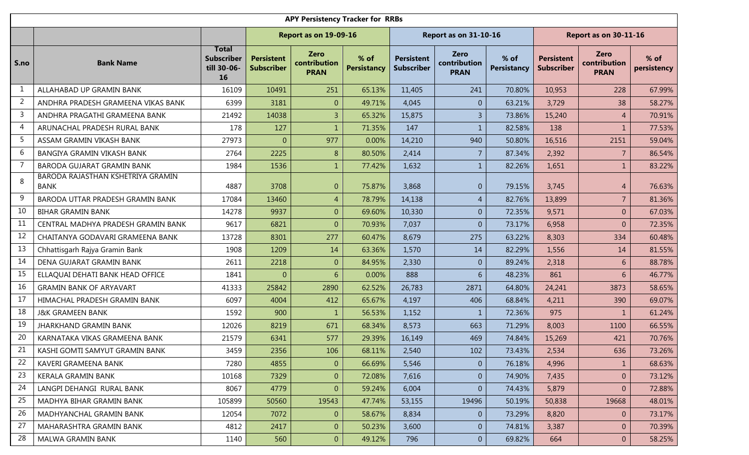|                | <b>APY Persistency Tracker for RRBs</b><br><b>Report as on 19-09-16</b><br><b>Report as on 31-10-16</b><br>Report as on 30-11-16 |                                                        |                                                                                                                                                                                                                    |                  |        |        |                |                    |                                        |                                            |                     |  |  |  |
|----------------|----------------------------------------------------------------------------------------------------------------------------------|--------------------------------------------------------|--------------------------------------------------------------------------------------------------------------------------------------------------------------------------------------------------------------------|------------------|--------|--------|----------------|--------------------|----------------------------------------|--------------------------------------------|---------------------|--|--|--|
|                |                                                                                                                                  |                                                        | <b>Zero</b><br><b>Zero</b><br>% of<br>% of<br><b>Persistent</b><br><b>Persistent</b><br>contribution<br>contribution<br><b>Persistancy</b><br><b>Subscriber</b><br><b>Subscriber</b><br><b>PRAN</b><br><b>PRAN</b> |                  |        |        |                |                    |                                        |                                            |                     |  |  |  |
| S.no           | <b>Bank Name</b>                                                                                                                 | <b>Total</b><br><b>Subscriber</b><br>till 30-06-<br>16 |                                                                                                                                                                                                                    |                  |        |        |                | <b>Persistancy</b> | <b>Persistent</b><br><b>Subscriber</b> | <b>Zero</b><br>contribution<br><b>PRAN</b> | % of<br>persistency |  |  |  |
| $\mathbf{1}$   | ALLAHABAD UP GRAMIN BANK                                                                                                         | 16109                                                  | 10491                                                                                                                                                                                                              | 251              | 65.13% | 11,405 | 241            | 70.80%             | 10,953                                 | 228                                        | 67.99%              |  |  |  |
| $\overline{2}$ | ANDHRA PRADESH GRAMEENA VIKAS BANK                                                                                               | 6399                                                   | 3181                                                                                                                                                                                                               | $\mathbf{0}$     | 49.71% | 4,045  | $\overline{0}$ | 63.21%             | 3,729                                  | 38                                         | 58.27%              |  |  |  |
| 3              | ANDHRA PRAGATHI GRAMEENA BANK                                                                                                    | 21492                                                  | 14038                                                                                                                                                                                                              | $\overline{3}$   | 65.32% | 15,875 | $\overline{3}$ | 73.86%             | 15,240                                 | $\overline{4}$                             | 70.91%              |  |  |  |
| 4              | ARUNACHAL PRADESH RURAL BANK                                                                                                     | 178                                                    | 127                                                                                                                                                                                                                | $\mathbf 1$      | 71.35% | 147    | $\overline{1}$ | 82.58%             | 138                                    | 1                                          | 77.53%              |  |  |  |
| 5              | ASSAM GRAMIN VIKASH BANK                                                                                                         | 27973                                                  | $\mathbf{0}$                                                                                                                                                                                                       | 977              | 0.00%  | 14,210 | 940            | 50.80%             | 16,516                                 | 2151                                       | 59.04%              |  |  |  |
| 6              | BANGIYA GRAMIN VIKASH BANK                                                                                                       | 2764                                                   | 2225                                                                                                                                                                                                               | 8 <sup>°</sup>   | 80.50% | 2,414  | $\overline{7}$ | 87.34%             | 2,392                                  | $\overline{7}$                             | 86.54%              |  |  |  |
| $\overline{7}$ | BARODA GUJARAT GRAMIN BANK                                                                                                       | 1984                                                   | 1536                                                                                                                                                                                                               | $\mathbf{1}$     | 77.42% | 1,632  | $\mathbf{1}$   | 82.26%             | 1,651                                  | $\mathbf{1}$                               | 83.22%              |  |  |  |
| 8              | BARODA RAJASTHAN KSHETRIYA GRAMIN<br><b>BANK</b>                                                                                 | 4887                                                   | 3708                                                                                                                                                                                                               | $\mathbf{0}$     | 75.87% | 3,868  | $\overline{0}$ | 79.15%             | 3,745                                  | 4                                          | 76.63%              |  |  |  |
| 9              | BARODA UTTAR PRADESH GRAMIN BANK                                                                                                 | 17084                                                  | 13460                                                                                                                                                                                                              | $\overline{4}$   | 78.79% | 14,138 | $\overline{4}$ | 82.76%             | 13,899                                 | $\overline{7}$                             | 81.36%              |  |  |  |
| 10             | <b>BIHAR GRAMIN BANK</b>                                                                                                         | 14278                                                  | 9937                                                                                                                                                                                                               | $\overline{0}$   | 69.60% | 10,330 | $\overline{0}$ | 72.35%             | 9,571                                  | $\boldsymbol{0}$                           | 67.03%              |  |  |  |
| 11             | CENTRAL MADHYA PRADESH GRAMIN BANK                                                                                               | 9617                                                   | 6821                                                                                                                                                                                                               | $\boldsymbol{0}$ | 70.93% | 7,037  | $\overline{0}$ | 73.17%             | 6,958                                  | $\mathbf{0}$                               | 72.35%              |  |  |  |
| 12             | CHAITANYA GODAVARI GRAMEENA BANK                                                                                                 | 13728                                                  | 8301                                                                                                                                                                                                               | 277              | 60.47% | 8,679  | 275            | 63.22%             | 8,303                                  | 334                                        | 60.48%              |  |  |  |
| 13             | Chhattisgarh Rajya Gramin Bank                                                                                                   | 1908                                                   | 1209                                                                                                                                                                                                               | 14               | 63.36% | 1,570  | 14             | 82.29%             | 1,556                                  | 14                                         | 81.55%              |  |  |  |
| 14             | DENA GUJARAT GRAMIN BANK                                                                                                         | 2611                                                   | 2218                                                                                                                                                                                                               | $\overline{0}$   | 84.95% | 2,330  | $\overline{0}$ | 89.24%             | 2,318                                  | 6                                          | 88.78%              |  |  |  |
| 15             | ELLAQUAI DEHATI BANK HEAD OFFICE                                                                                                 | 1841                                                   | $\theta$                                                                                                                                                                                                           | 6                | 0.00%  | 888    | 6              | 48.23%             | 861                                    | 6                                          | 46.77%              |  |  |  |
| 16             | <b>GRAMIN BANK OF ARYAVART</b>                                                                                                   | 41333                                                  | 25842                                                                                                                                                                                                              | 2890             | 62.52% | 26,783 | 2871           | 64.80%             | 24,241                                 | 3873                                       | 58.65%              |  |  |  |
| 17             | HIMACHAL PRADESH GRAMIN BANK                                                                                                     | 6097                                                   | 4004                                                                                                                                                                                                               | 412              | 65.67% | 4,197  | 406            | 68.84%             | 4,211                                  | 390                                        | 69.07%              |  |  |  |
| 18             | <b>J&amp;K GRAMEEN BANK</b>                                                                                                      | 1592                                                   | 900                                                                                                                                                                                                                | $\mathbf{1}$     | 56.53% | 1,152  | $\mathbf{1}$   | 72.36%             | 975                                    | $\mathbf{1}$                               | 61.24%              |  |  |  |
| 19             | <b>JHARKHAND GRAMIN BANK</b>                                                                                                     | 12026                                                  | 8219                                                                                                                                                                                                               | 671              | 68.34% | 8,573  | 663            | 71.29%             | 8,003                                  | 1100                                       | 66.55%              |  |  |  |
| 20             | KARNATAKA VIKAS GRAMEENA BANK                                                                                                    | 21579                                                  | 6341                                                                                                                                                                                                               | 577              | 29.39% | 16,149 | 469            | 74.84%             | 15,269                                 | 421                                        | 70.76%              |  |  |  |
| 21             | KASHI GOMTI SAMYUT GRAMIN BANK                                                                                                   | 3459                                                   | 2356                                                                                                                                                                                                               | 106              | 68.11% | 2,540  | 102            | 73.43%             | 2,534                                  | 636                                        | 73.26%              |  |  |  |
| 22             | KAVERI GRAMEENA BANK                                                                                                             | 7280                                                   | 4855                                                                                                                                                                                                               | $\overline{0}$   | 66.69% | 5,546  | $\overline{0}$ | 76.18%             | 4,996                                  | 1                                          | 68.63%              |  |  |  |
| 23             | KERALA GRAMIN BANK                                                                                                               | 10168                                                  | 7329                                                                                                                                                                                                               | $\overline{0}$   | 72.08% | 7,616  | $\mathbf 0$    | 74.90%             | 7,435                                  | $\mathbf{0}$                               | 73.12%              |  |  |  |
| 24             | LANGPI DEHANGI RURAL BANK                                                                                                        | 8067                                                   | 4779                                                                                                                                                                                                               | $\overline{0}$   | 59.24% | 6,004  | $\overline{0}$ | 74.43%             | 5,879                                  | $\overline{0}$                             | 72.88%              |  |  |  |
| 25             | MADHYA BIHAR GRAMIN BANK                                                                                                         | 105899                                                 | 50560                                                                                                                                                                                                              | 19543            | 47.74% | 53,155 | 19496          | 50.19%             | 50,838                                 | 19668                                      | 48.01%              |  |  |  |
| 26             | MADHYANCHAL GRAMIN BANK                                                                                                          | 12054                                                  | 7072                                                                                                                                                                                                               | $\overline{0}$   | 58.67% | 8,834  | $\overline{0}$ | 73.29%             | 8,820                                  | $\overline{0}$                             | 73.17%              |  |  |  |
| 27             | MAHARASHTRA GRAMIN BANK                                                                                                          | 4812                                                   | 2417                                                                                                                                                                                                               | $\overline{0}$   | 50.23% | 3,600  | $\overline{0}$ | 74.81%             | 3,387                                  | $\overline{0}$                             | 70.39%              |  |  |  |
| 28             | MALWA GRAMIN BANK                                                                                                                | 1140                                                   | 560                                                                                                                                                                                                                | $\overline{0}$   | 49.12% | 796    | $\overline{0}$ | 69.82%             | 664                                    | $\overline{0}$                             | 58.25%              |  |  |  |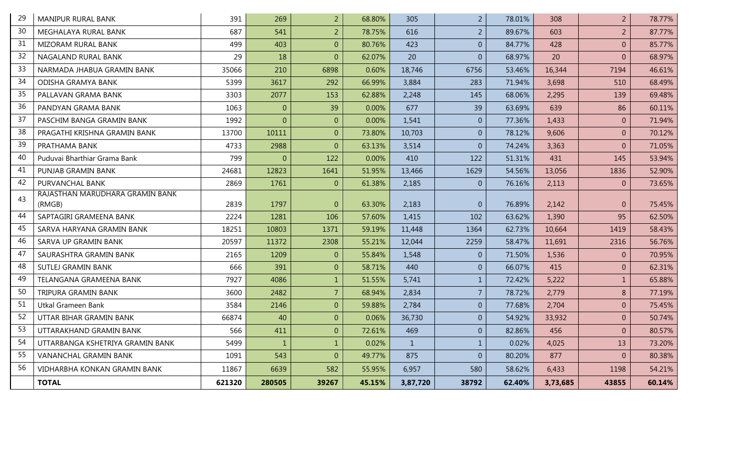| 29 | <b>MANIPUR RURAL BANK</b>        | 391    | 269            | $\overline{2}$ | 68.80% | 305          | $\overline{2}$ | 78.01% | 308      | $\overline{2}$   | 78.77% |
|----|----------------------------------|--------|----------------|----------------|--------|--------------|----------------|--------|----------|------------------|--------|
| 30 | MEGHALAYA RURAL BANK             | 687    | 541            | $\overline{2}$ | 78.75% | 616          | $\overline{2}$ | 89.67% | 603      | $\overline{2}$   | 87.77% |
| 31 | <b>MIZORAM RURAL BANK</b>        | 499    | 403            | $\overline{0}$ | 80.76% | 423          | $\overline{0}$ | 84.77% | 428      | $\mathbf{0}$     | 85.77% |
| 32 | <b>NAGALAND RURAL BANK</b>       | 29     | 18             | $\overline{0}$ | 62.07% | 20           | $\overline{0}$ | 68.97% | 20       | $\overline{0}$   | 68.97% |
| 33 | NARMADA JHABUA GRAMIN BANK       | 35066  | 210            | 6898           | 0.60%  | 18,746       | 6756           | 53.46% | 16,344   | 7194             | 46.61% |
| 34 | ODISHA GRAMYA BANK               | 5399   | 3617           | 292            | 66.99% | 3,884        | 283            | 71.94% | 3,698    | 510              | 68.49% |
| 35 | PALLAVAN GRAMA BANK              | 3303   | 2077           | 153            | 62.88% | 2,248        | 145            | 68.06% | 2,295    | 139              | 69.48% |
| 36 | PANDYAN GRAMA BANK               | 1063   | $\overline{0}$ | 39             | 0.00%  | 677          | 39             | 63.69% | 639      | 86               | 60.11% |
| 37 | PASCHIM BANGA GRAMIN BANK        | 1992   | $\Omega$       | $\overline{0}$ | 0.00%  | 1,541        | $\overline{0}$ | 77.36% | 1,433    | $\overline{0}$   | 71.94% |
| 38 | PRAGATHI KRISHNA GRAMIN BANK     | 13700  | 10111          | $\overline{0}$ | 73.80% | 10,703       | $\mathbf{0}$   | 78.12% | 9,606    | $\boldsymbol{0}$ | 70.12% |
| 39 | PRATHAMA BANK                    | 4733   | 2988           | $\overline{0}$ | 63.13% | 3,514        | $\overline{0}$ | 74.24% | 3,363    | $\overline{0}$   | 71.05% |
| 40 | Puduvai Bharthiar Grama Bank     | 799    | $\theta$       | 122            | 0.00%  | 410          | 122            | 51.31% | 431      | 145              | 53.94% |
| 41 | PUNJAB GRAMIN BANK               | 24681  | 12823          | 1641           | 51.95% | 13,466       | 1629           | 54.56% | 13,056   | 1836             | 52.90% |
| 42 | PURVANCHAL BANK                  | 2869   | 1761           | $\overline{0}$ | 61.38% | 2,185        | $\overline{0}$ | 76.16% | 2,113    | $\mathbf{0}$     | 73.65% |
| 43 | RAJASTHAN MARUDHARA GRAMIN BANK  |        |                |                |        |              |                |        |          |                  |        |
|    | (RMGB)                           | 2839   | 1797           | $\overline{0}$ | 63.30% | 2,183        | $\overline{0}$ | 76.89% | 2,142    | $\mathbf{0}$     | 75.45% |
| 44 | SAPTAGIRI GRAMEENA BANK          | 2224   | 1281           | 106            | 57.60% | 1,415        | 102            | 63.62% | 1,390    | 95               | 62.50% |
| 45 | SARVA HARYANA GRAMIN BANK        | 18251  | 10803          | 1371           | 59.19% | 11,448       | 1364           | 62.73% | 10,664   | 1419             | 58.43% |
| 46 | SARVA UP GRAMIN BANK             | 20597  | 11372          | 2308           | 55.21% | 12,044       | 2259           | 58.47% | 11,691   | 2316             | 56.76% |
| 47 | SAURASHTRA GRAMIN BANK           | 2165   | 1209           | $\overline{0}$ | 55.84% | 1,548        | $\overline{0}$ | 71.50% | 1,536    | $\boldsymbol{0}$ | 70.95% |
| 48 | <b>SUTLEJ GRAMIN BANK</b>        | 666    | 391            | $\overline{0}$ | 58.71% | 440          | $\overline{0}$ | 66.07% | 415      | $\mathbf{0}$     | 62.31% |
| 49 | TELANGANA GRAMEENA BANK          | 7927   | 4086           | $\mathbf{1}$   | 51.55% | 5,741        | $\mathbf{1}$   | 72.42% | 5,222    | $\mathbf 1$      | 65.88% |
| 50 | TRIPURA GRAMIN BANK              | 3600   | 2482           | $\overline{7}$ | 68.94% | 2,834        | $\overline{7}$ | 78.72% | 2,779    | 8                | 77.19% |
| 51 | Utkal Grameen Bank               | 3584   | 2146           | $\overline{0}$ | 59.88% | 2,784        | $\overline{0}$ | 77.68% | 2,704    | $\mathbf{0}$     | 75.45% |
| 52 | UTTAR BIHAR GRAMIN BANK          | 66874  | 40             | $\overline{0}$ | 0.06%  | 36,730       | $\overline{0}$ | 54.92% | 33,932   | $\overline{0}$   | 50.74% |
| 53 | UTTARAKHAND GRAMIN BANK          | 566    | 411            | $\overline{0}$ | 72.61% | 469          | $\overline{0}$ | 82.86% | 456      | $\mathbf{0}$     | 80.57% |
| 54 | UTTARBANGA KSHETRIYA GRAMIN BANK | 5499   | $\mathbf{1}$   | $1\,$          | 0.02%  | $\mathbf{1}$ | $\mathbf{1}$   | 0.02%  | 4,025    | 13               | 73.20% |
| 55 | VANANCHAL GRAMIN BANK            | 1091   | 543            | $\overline{0}$ | 49.77% | 875          | $\overline{0}$ | 80.20% | 877      | $\Omega$         | 80.38% |
| 56 | VIDHARBHA KONKAN GRAMIN BANK     | 11867  | 6639           | 582            | 55.95% | 6,957        | 580            | 58.62% | 6,433    | 1198             | 54.21% |
|    | <b>TOTAL</b>                     | 621320 | 280505         | 39267          | 45.15% | 3,87,720     | 38792          | 62.40% | 3,73,685 | 43855            | 60.14% |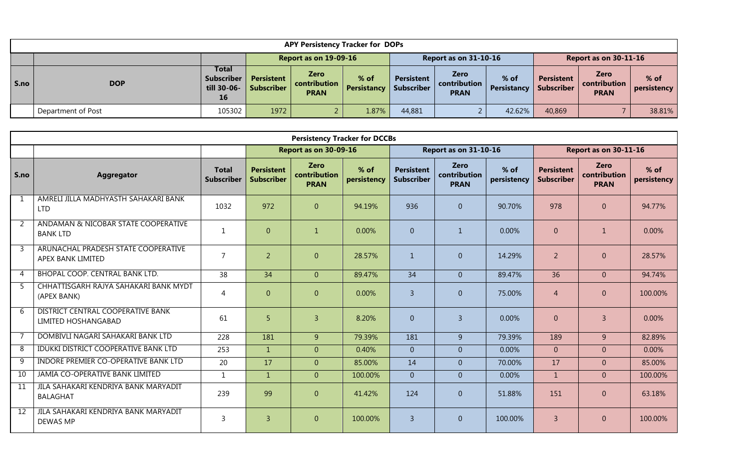|      | <b>APY Persistency Tracker for DOPs</b> |                                                               |                                        |                                            |                              |                          |                                     |                     |                          |                                              |                     |  |  |
|------|-----------------------------------------|---------------------------------------------------------------|----------------------------------------|--------------------------------------------|------------------------------|--------------------------|-------------------------------------|---------------------|--------------------------|----------------------------------------------|---------------------|--|--|
|      |                                         |                                                               | Report as on 19-09-16                  |                                            |                              |                          | <b>Report as on 31-10-16</b>        |                     |                          | Report as on 30-11-16                        |                     |  |  |
| S.no | <b>DOP</b>                              | <b>Total</b><br><b>Subscriber</b><br>till 30-06-<br><b>16</b> | <b>Persistent</b><br><b>Subscriber</b> | <b>Zero</b><br>contribution<br><b>PRAN</b> | $%$ of<br><b>Persistancy</b> | Persistent<br>Subscriber | Zero<br>contribution<br><b>PRAN</b> | % of<br>Persistancy | Persistent<br>Subscriber | <b>Zero</b><br>l contribution<br><b>PRAN</b> | % of<br>persistency |  |  |
|      | Department of Post                      | 105302                                                        | 1972                                   |                                            | 1.87%                        | 44,881                   |                                     | 42.62%              | 40,869                   |                                              | 38.81%              |  |  |

|                 | <b>Persistency Tracker for DCCBs</b><br>Report as on 31-10-16<br><b>Report as on 30-11-16</b><br>Report as on 30-09-16 |                                   |                                        |                                            |                       |                                        |                                            |                       |                                        |                                            |                       |  |  |  |
|-----------------|------------------------------------------------------------------------------------------------------------------------|-----------------------------------|----------------------------------------|--------------------------------------------|-----------------------|----------------------------------------|--------------------------------------------|-----------------------|----------------------------------------|--------------------------------------------|-----------------------|--|--|--|
|                 |                                                                                                                        |                                   |                                        |                                            |                       |                                        |                                            |                       |                                        |                                            |                       |  |  |  |
| S.no            | <b>Aggregator</b>                                                                                                      | <b>Total</b><br><b>Subscriber</b> | <b>Persistent</b><br><b>Subscriber</b> | <b>Zero</b><br>contribution<br><b>PRAN</b> | $%$ of<br>persistency | <b>Persistent</b><br><b>Subscriber</b> | <b>Zero</b><br>contribution<br><b>PRAN</b> | $%$ of<br>persistency | <b>Persistent</b><br><b>Subscriber</b> | <b>Zero</b><br>contribution<br><b>PRAN</b> | $%$ of<br>persistency |  |  |  |
| $\mathbf{1}$    | AMRELI JILLA MADHYASTH SAHAKARI BANK<br><b>LTD</b>                                                                     | 1032                              | 972                                    | $\overline{0}$                             | 94.19%                | 936                                    | $\mathbf{0}$                               | 90.70%                | 978                                    | $\mathbf{0}$                               | 94.77%                |  |  |  |
| 2               | ANDAMAN & NICOBAR STATE COOPERATIVE<br><b>BANK LTD</b>                                                                 | $\mathbf{1}$                      | $\overline{0}$                         | $\mathbf{1}$                               | 0.00%                 | $\overline{0}$                         | $\mathbf{1}$                               | 0.00%                 | $\overline{0}$                         | $\mathbf{1}$                               | 0.00%                 |  |  |  |
| 3               | ARUNACHAL PRADESH STATE COOPERATIVE<br>APEX BANK LIMITED                                                               | $\overline{7}$                    | $\overline{2}$                         | $\overline{0}$                             | 28.57%                | $\mathbf{1}$                           | $\overline{0}$                             | 14.29%                | $\overline{2}$                         | $\overline{0}$                             | 28.57%                |  |  |  |
| 4               | <b>BHOPAL COOP. CENTRAL BANK LTD.</b>                                                                                  | 38                                | 34                                     | $\overline{0}$                             | 89.47%                | 34                                     | $\overline{0}$                             | 89.47%                | 36                                     | $\overline{0}$                             | 94.74%                |  |  |  |
| 5.              | CHHATTISGARH RAJYA SAHAKARI BANK MYDT<br>(APEX BANK)                                                                   | 4                                 | $\Omega$                               | $\overline{0}$                             | 0.00%                 | $\overline{3}$                         | $\overline{0}$                             | 75.00%                | $\overline{4}$                         | $\overline{0}$                             | 100.00%               |  |  |  |
| 6               | <b>DISTRICT CENTRAL COOPERATIVE BANK</b><br>LIMITED HOSHANGABAD                                                        | 61                                | 5                                      | $\overline{3}$                             | 8.20%                 | $\Omega$                               | $\overline{3}$                             | 0.00%                 | $\Omega$                               | $\overline{3}$                             | 0.00%                 |  |  |  |
|                 | DOMBIVLI NAGARI SAHAKARI BANK LTD                                                                                      | 228                               | 181                                    | 9                                          | 79.39%                | 181                                    | 9                                          | 79.39%                | 189                                    | 9                                          | 82.89%                |  |  |  |
| 8               | IDUKKI DISTRICT COOPERATIVE BANK LTD                                                                                   | 253                               | $\mathbf{1}$                           | $\overline{0}$                             | 0.40%                 | $\overline{0}$                         | $\overline{0}$                             | 0.00%                 | $\overline{0}$                         | $\overline{0}$                             | 0.00%                 |  |  |  |
| 9               | INDORE PREMIER CO-OPERATIVE BANK LTD                                                                                   | 20                                | 17                                     | $\overline{0}$                             | 85.00%                | 14                                     | $\overline{0}$                             | 70.00%                | 17                                     | $\overline{0}$                             | 85.00%                |  |  |  |
| 10              | JAMIA CO-OPERATIVE BANK LIMITED                                                                                        | $\mathbf{1}$                      | $\mathbf{1}$                           | $\overline{0}$                             | 100.00%               | $\overline{0}$                         | $\overline{0}$                             | 0.00%                 | $\mathbf{1}$                           | $\overline{0}$                             | 100.00%               |  |  |  |
| $\overline{11}$ | JILA SAHAKARI KENDRIYA BANK MARYADIT<br><b>BALAGHAT</b>                                                                | 239                               | 99                                     | $\overline{0}$                             | 41.42%                | 124                                    | $\overline{0}$                             | 51.88%                | 151                                    | $\mathbf{0}$                               | 63.18%                |  |  |  |
| 12              | JILA SAHAKARI KENDRIYA BANK MARYADIT<br><b>DEWAS MP</b>                                                                | $\overline{3}$                    | $\overline{3}$                         | $\overline{0}$                             | 100.00%               | $\overline{3}$                         | $\overline{0}$                             | 100.00%               | $\overline{3}$                         | $\theta$                                   | 100.00%               |  |  |  |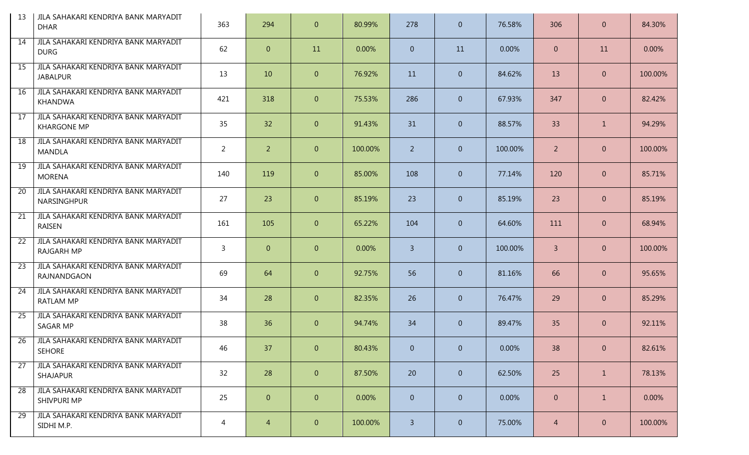| -13             | JILA SAHAKARI KENDRIYA BANK MARYADIT<br><b>DHAR</b>        | 363            | 294            | $\overline{0}$ | 80.99%  | 278            | $\overline{0}$ | 76.58%  | 306            | $\mathbf{0}$   | 84.30%  |
|-----------------|------------------------------------------------------------|----------------|----------------|----------------|---------|----------------|----------------|---------|----------------|----------------|---------|
| 14              | JILA SAHAKARI KENDRIYA BANK MARYADIT<br><b>DURG</b>        | 62             | $\overline{0}$ | 11             | 0.00%   | $\overline{0}$ | 11             | 0.00%   | $\overline{0}$ | 11             | 0.00%   |
| $\overline{15}$ | JILA SAHAKARI KENDRIYA BANK MARYADIT<br><b>JABALPUR</b>    | 13             | 10             | $\overline{0}$ | 76.92%  | 11             | $\overline{0}$ | 84.62%  | 13             | $\mathbf{0}$   | 100.00% |
| 16              | JILA SAHAKARI KENDRIYA BANK MARYADIT<br>KHANDWA            | 421            | 318            | $\overline{0}$ | 75.53%  | 286            | $\overline{0}$ | 67.93%  | 347            | $\mathbf{0}$   | 82.42%  |
| 17              | JILA SAHAKARI KENDRIYA BANK MARYADIT<br><b>KHARGONE MP</b> | 35             | 32             | $\overline{0}$ | 91.43%  | 31             | $\overline{0}$ | 88.57%  | 33             | 1              | 94.29%  |
| 18              | JILA SAHAKARI KENDRIYA BANK MARYADIT<br><b>MANDLA</b>      | $\overline{2}$ | $\overline{2}$ | $\overline{0}$ | 100.00% | $\overline{2}$ | $\overline{0}$ | 100.00% | $\overline{2}$ | $\mathbf{0}$   | 100.00% |
| $\overline{19}$ | JILA SAHAKARI KENDRIYA BANK MARYADIT<br><b>MORENA</b>      | 140            | 119            | $\overline{0}$ | 85.00%  | 108            | $\overline{0}$ | 77.14%  | 120            | $\mathbf{0}$   | 85.71%  |
| 20              | JILA SAHAKARI KENDRIYA BANK MARYADIT<br>NARSINGHPUR        | 27             | 23             | $\overline{0}$ | 85.19%  | 23             | $\overline{0}$ | 85.19%  | 23             | $\mathbf{0}$   | 85.19%  |
| 21              | JILA SAHAKARI KENDRIYA BANK MARYADIT<br>RAISEN             | 161            | 105            | $\overline{0}$ | 65.22%  | 104            | $\overline{0}$ | 64.60%  | 111            | $\mathbf{0}$   | 68.94%  |
| $\overline{22}$ | JILA SAHAKARI KENDRIYA BANK MARYADIT<br><b>RAJGARH MP</b>  | $\overline{3}$ | $\overline{0}$ | $\overline{0}$ | 0.00%   | $\mathbf{3}$   | $\overline{0}$ | 100.00% | $\overline{3}$ | $\mathbf{0}$   | 100.00% |
| 23              | JILA SAHAKARI KENDRIYA BANK MARYADIT<br>RAJNANDGAON        | 69             | 64             | $\overline{0}$ | 92.75%  | 56             | $\overline{0}$ | 81.16%  | 66             | $\mathbf{0}$   | 95.65%  |
| 24              | JILA SAHAKARI KENDRIYA BANK MARYADIT<br><b>RATLAM MP</b>   | 34             | 28             | $\overline{0}$ | 82.35%  | 26             | $\overline{0}$ | 76.47%  | 29             | $\mathbf{0}$   | 85.29%  |
| 25              | JILA SAHAKARI KENDRIYA BANK MARYADIT<br>SAGAR MP           | 38             | 36             | $\overline{0}$ | 94.74%  | 34             | $\overline{0}$ | 89.47%  | 35             | $\mathbf{0}$   | 92.11%  |
| 26              | JILA SAHAKARI KENDRIYA BANK MARYADIT<br><b>SEHORE</b>      | 46             | 37             | $\overline{0}$ | 80.43%  | $\overline{0}$ | $\overline{0}$ | 0.00%   | 38             | $\overline{0}$ | 82.61%  |
| $\overline{27}$ | JILA SAHAKARI KENDRIYA BANK MARYADIT<br>SHAJAPUR           | 32             | 28             | $\overline{0}$ | 87.50%  | 20             | $\overline{0}$ | 62.50%  | 25             | $\mathbf{1}$   | 78.13%  |
| $\overline{28}$ | JILA SAHAKARI KENDRIYA BANK MARYADIT<br>SHIVPURI MP        | 25             | $\overline{0}$ | $\overline{0}$ | 0.00%   | $\overline{0}$ | $\overline{0}$ | 0.00%   | $\overline{0}$ | $\mathbf{1}$   | 0.00%   |
| 29              | JILA SAHAKARI KENDRIYA BANK MARYADIT<br>SIDHI M.P.         | 4              | $\overline{4}$ | $\overline{0}$ | 100.00% | $\overline{3}$ | $\overline{0}$ | 75.00%  | $\overline{4}$ | $\mathbf{0}$   | 100.00% |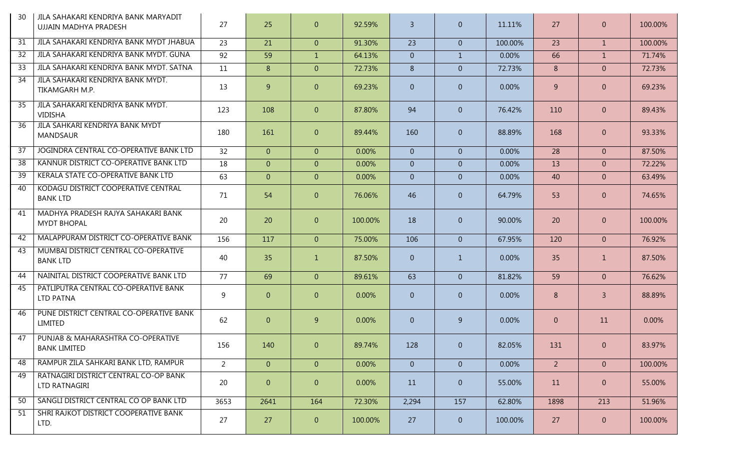| 30 | JILA SAHAKARI KENDRIYA BANK MARYADIT<br>UJJAIN MADHYA PRADESH | 27             | 25             | $\overline{0}$ | 92.59%  | $\overline{3}$ | $\overline{0}$ | 11.11%  | 27             | $\overline{0}$ | 100.00% |
|----|---------------------------------------------------------------|----------------|----------------|----------------|---------|----------------|----------------|---------|----------------|----------------|---------|
| 31 | JILA SAHAKARI KENDRIYA BANK MYDT JHABUA                       | 23             | 21             | $\overline{0}$ | 91.30%  | 23             | $\overline{0}$ | 100.00% | 23             | $\mathbf{1}$   | 100.00% |
| 32 | JILA SAHAKARI KENDRIYA BANK MYDT. GUNA                        | 92             | 59             | $\mathbf{1}$   | 64.13%  | $\overline{0}$ | $\mathbf{1}$   | 0.00%   | 66             | $\mathbf{1}$   | 71.74%  |
| 33 | JILA SAHAKARI KENDRIYA BANK MYDT. SATNA                       | 11             | 8              | $\overline{0}$ | 72.73%  | 8              | $\overline{0}$ | 72.73%  | 8              | $\overline{0}$ | 72.73%  |
| 34 | JILA SAHAKARI KENDRIYA BANK MYDT.<br>TIKAMGARH M.P.           | 13             | 9              | $\overline{0}$ | 69.23%  | $\overline{0}$ | $\overline{0}$ | 0.00%   | 9              | $\overline{0}$ | 69.23%  |
| 35 | JILA SAHAKARI KENDRIYA BANK MYDT.<br><b>VIDISHA</b>           | 123            | 108            | $\overline{0}$ | 87.80%  | 94             | $\overline{0}$ | 76.42%  | 110            | $\overline{0}$ | 89.43%  |
| 36 | JILA SAHKARI KENDRIYA BANK MYDT<br><b>MANDSAUR</b>            | 180            | 161            | $\overline{0}$ | 89.44%  | 160            | $\overline{0}$ | 88.89%  | 168            | $\overline{0}$ | 93.33%  |
| 37 | JOGINDRA CENTRAL CO-OPERATIVE BANK LTD                        | 32             | $\overline{0}$ | $\overline{0}$ | 0.00%   | $\overline{0}$ | $\overline{0}$ | 0.00%   | 28             | $\overline{0}$ | 87.50%  |
| 38 | KANNUR DISTRICT CO-OPERATIVE BANK LTD                         | 18             | $\overline{0}$ | $\overline{0}$ | 0.00%   | $\overline{0}$ | $\overline{0}$ | 0.00%   | 13             | $\overline{0}$ | 72.22%  |
| 39 | KERALA STATE CO-OPERATIVE BANK LTD                            | 63             | $\overline{0}$ | $\overline{0}$ | 0.00%   | $\overline{0}$ | $\overline{0}$ | 0.00%   | 40             | $\overline{0}$ | 63.49%  |
| 40 | KODAGU DISTRICT COOPERATIVE CENTRAL<br><b>BANK LTD</b>        | 71             | 54             | $\overline{0}$ | 76.06%  | 46             | $\overline{0}$ | 64.79%  | 53             | $\overline{0}$ | 74.65%  |
| 41 | MADHYA PRADESH RAJYA SAHAKARI BANK<br><b>MYDT BHOPAL</b>      | 20             | 20             | $\overline{0}$ | 100.00% | 18             | $\overline{0}$ | 90.00%  | 20             | $\overline{0}$ | 100.00% |
| 42 | MALAPPURAM DISTRICT CO-OPERATIVE BANK                         | 156            | 117            | $\overline{0}$ | 75.00%  | 106            | $\overline{0}$ | 67.95%  | 120            | $\overline{0}$ | 76.92%  |
| 43 | MUMBAI DISTRICT CENTRAL CO-OPERATIVE<br><b>BANK LTD</b>       | 40             | 35             | $\mathbf{1}$   | 87.50%  | $\overline{0}$ | $\mathbf{1}$   | 0.00%   | 35             | $\mathbf{1}$   | 87.50%  |
| 44 | NAINITAL DISTRICT COOPERATIVE BANK LTD                        | 77             | 69             | $\overline{0}$ | 89.61%  | 63             | $\overline{0}$ | 81.82%  | 59             | $\overline{0}$ | 76.62%  |
| 45 | PATLIPUTRA CENTRAL CO-OPERATIVE BANK<br>LTD PATNA             | 9              | $\overline{0}$ | $\overline{0}$ | 0.00%   | $\overline{0}$ | $\overline{0}$ | 0.00%   | 8              | $\overline{3}$ | 88.89%  |
| 46 | PUNE DISTRICT CENTRAL CO-OPERATIVE BANK<br>LIMITED            | 62             | $\overline{0}$ | 9              | 0.00%   | $\overline{0}$ | 9              | 0.00%   | $\overline{0}$ | 11             | 0.00%   |
| 47 | PUNJAB & MAHARASHTRA CO-OPERATIVE<br><b>BANK LIMITED</b>      | 156            | 140            | $\overline{0}$ | 89.74%  | 128            | $\overline{0}$ | 82.05%  | 131            | $\overline{0}$ | 83.97%  |
| 48 | RAMPUR ZILA SAHKARI BANK LTD, RAMPUR                          | $\overline{2}$ | $\overline{0}$ | $\overline{0}$ | 0.00%   | $\overline{0}$ | $\overline{0}$ | 0.00%   | 2 <sup>1</sup> | $\overline{0}$ | 100.00% |
| 49 | RATNAGIRI DISTRICT CENTRAL CO-OP BANK<br>LTD RATNAGIRI        | 20             | $\overline{0}$ | $\overline{0}$ | 0.00%   | 11             | $\overline{0}$ | 55.00%  | 11             | $\overline{0}$ | 55.00%  |
| 50 | SANGLI DISTRICT CENTRAL CO OP BANK LTD                        | 3653           | 2641           | 164            | 72.30%  | 2,294          | 157            | 62.80%  | 1898           | 213            | 51.96%  |
| 51 | SHRI RAJKOT DISTRICT COOPERATIVE BANK<br>LTD.                 | 27             | 27             | $\overline{0}$ | 100.00% | 27             | $\overline{0}$ | 100.00% | 27             | $\overline{0}$ | 100.00% |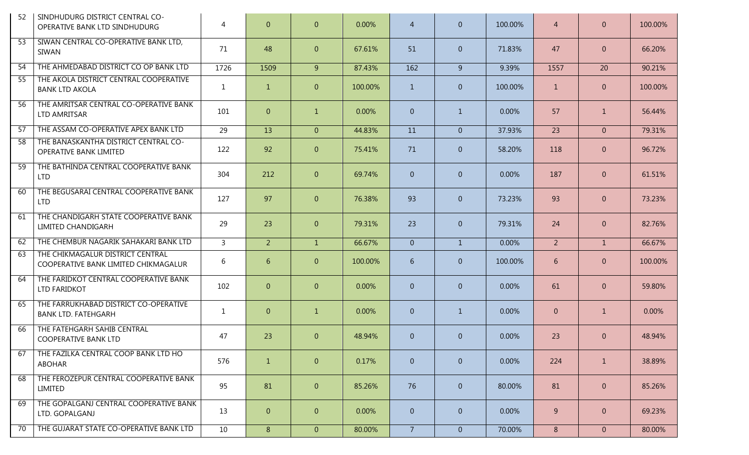| 52              | SINDHUDURG DISTRICT CENTRAL CO-<br>OPERATIVE BANK LTD SINDHUDURG         | 4              | $\overline{0}$ | $\overline{0}$ | 0.00%   | $\overline{4}$ | $\overline{0}$ | 100.00% | $\overline{4}$ | $\mathbf{0}$   | 100.00% |
|-----------------|--------------------------------------------------------------------------|----------------|----------------|----------------|---------|----------------|----------------|---------|----------------|----------------|---------|
| 53              | SIWAN CENTRAL CO-OPERATIVE BANK LTD,<br>SIWAN                            | 71             | 48             | $\overline{0}$ | 67.61%  | 51             | $\overline{0}$ | 71.83%  | 47             | $\overline{0}$ | 66.20%  |
| $\overline{54}$ | THE AHMEDABAD DISTRICT CO OP BANK LTD                                    | 1726           | 1509           | 9 <sup>°</sup> | 87.43%  | 162            | 9              | 9.39%   | 1557           | 20             | 90.21%  |
| $\overline{55}$ | THE AKOLA DISTRICT CENTRAL COOPERATIVE<br><b>BANK LTD AKOLA</b>          | 1              | $\mathbf{1}$   | $\overline{0}$ | 100.00% | $\mathbf{1}$   | $\overline{0}$ | 100.00% | $\mathbf{1}$   | $\overline{0}$ | 100.00% |
| 56              | THE AMRITSAR CENTRAL CO-OPERATIVE BANK<br>LTD AMRITSAR                   | 101            | $\overline{0}$ | $\mathbf{1}$   | 0.00%   | $\overline{0}$ | $\mathbf{1}$   | 0.00%   | 57             | $\mathbf{1}$   | 56.44%  |
| 57              | THE ASSAM CO-OPERATIVE APEX BANK LTD                                     | 29             | 13             | $\overline{0}$ | 44.83%  | 11             | $\overline{0}$ | 37.93%  | 23             | $\overline{0}$ | 79.31%  |
| $\overline{58}$ | THE BANASKANTHA DISTRICT CENTRAL CO-<br><b>OPERATIVE BANK LIMITED</b>    | 122            | 92             | $\overline{0}$ | 75.41%  | 71             | $\overline{0}$ | 58.20%  | 118            | $\overline{0}$ | 96.72%  |
| 59              | THE BATHINDA CENTRAL COOPERATIVE BANK<br><b>LTD</b>                      | 304            | 212            | $\overline{0}$ | 69.74%  | $\overline{0}$ | $\overline{0}$ | 0.00%   | 187            | $\overline{0}$ | 61.51%  |
| 60              | THE BEGUSARAI CENTRAL COOPERATIVE BANK<br><b>LTD</b>                     | 127            | 97             | $\overline{0}$ | 76.38%  | 93             | $\overline{0}$ | 73.23%  | 93             | $\overline{0}$ | 73.23%  |
| 61              | THE CHANDIGARH STATE COOPERATIVE BANK<br>LIMITED CHANDIGARH              | 29             | 23             | $\overline{0}$ | 79.31%  | 23             | $\overline{0}$ | 79.31%  | 24             | $\overline{0}$ | 82.76%  |
| 62              | THE CHEMBUR NAGARIK SAHAKARI BANK LTD                                    | $\overline{3}$ | 2 <sup>1</sup> | $\mathbf{1}$   | 66.67%  | $\overline{0}$ | $\mathbf{1}$   | 0.00%   | 2 <sup>1</sup> | $\mathbf{1}$   | 66.67%  |
| 63              | THE CHIKMAGALUR DISTRICT CENTRAL<br>COOPERATIVE BANK LIMITED CHIKMAGALUR | 6              | 6              | $\overline{0}$ | 100.00% | 6              | $\overline{0}$ | 100.00% | 6              | $\overline{0}$ | 100.00% |
| 64              | THE FARIDKOT CENTRAL COOPERATIVE BANK<br>LTD FARIDKOT                    | 102            | $\overline{0}$ | $\overline{0}$ | 0.00%   | $\overline{0}$ | $\overline{0}$ | 0.00%   | 61             | $\overline{0}$ | 59.80%  |
| 65              | THE FARRUKHABAD DISTRICT CO-OPERATIVE<br><b>BANK LTD. FATEHGARH</b>      | $\mathbf{1}$   | $\overline{0}$ | $\mathbf{1}$   | 0.00%   | $\overline{0}$ | $\mathbf{1}$   | 0.00%   | $\overline{0}$ | $\mathbf{1}$   | 0.00%   |
| 66              | THE FATEHGARH SAHIB CENTRAL<br><b>COOPERATIVE BANK LTD</b>               | 47             | 23             | $\overline{0}$ | 48.94%  | $\overline{0}$ | $\overline{0}$ | 0.00%   | 23             | $\overline{0}$ | 48.94%  |
| 67              | THE FAZILKA CENTRAL COOP BANK LTD HO<br><b>ABOHAR</b>                    | 576            | $\mathbf{1}$   | $\overline{0}$ | 0.17%   | $\overline{0}$ | $\overline{0}$ | 0.00%   | 224            | $\mathbf{1}$   | 38.89%  |
| 68              | THE FEROZEPUR CENTRAL COOPERATIVE BANK<br>LIMITED                        | 95             | 81             | $\overline{0}$ | 85.26%  | 76             | $\overline{0}$ | 80.00%  | 81             | $\overline{0}$ | 85.26%  |
| 69              | THE GOPALGANJ CENTRAL COOPERATIVE BANK<br>LTD. GOPALGANJ                 | 13             | $\overline{0}$ | $\overline{0}$ | 0.00%   | $\overline{0}$ | $\overline{0}$ | 0.00%   | 9              | $\overline{0}$ | 69.23%  |
| 70              | THE GUJARAT STATE CO-OPERATIVE BANK LTD                                  | 10             | 8 <sup>°</sup> | $\overline{0}$ | 80.00%  | 7 <sup>1</sup> | $\overline{0}$ | 70.00%  | 8              | $\overline{0}$ | 80.00%  |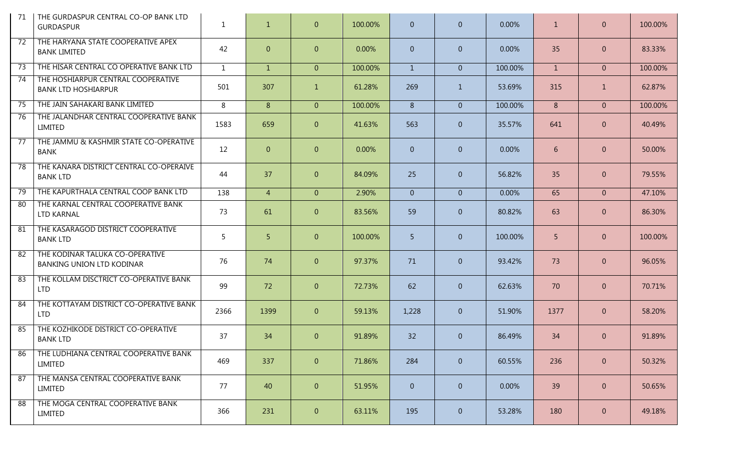| 71              | THE GURDASPUR CENTRAL CO-OP BANK LTD<br><b>GURDASPUR</b>            | $\mathbf{1}$ | $\mathbf{1}$   | $\overline{0}$ | 100.00% | $\overline{0}$ | $\overline{0}$ | 0.00%   | $\mathbf{1}$   | $\overline{0}$ | 100.00% |
|-----------------|---------------------------------------------------------------------|--------------|----------------|----------------|---------|----------------|----------------|---------|----------------|----------------|---------|
| 72              | THE HARYANA STATE COOPERATIVE APEX<br><b>BANK LIMITED</b>           | 42           | $\overline{0}$ | $\overline{0}$ | 0.00%   | $\overline{0}$ | $\overline{0}$ | 0.00%   | 35             | $\overline{0}$ | 83.33%  |
| 73              | THE HISAR CENTRAL CO OPERATIVE BANK LTD                             | $\mathbf{1}$ | $\mathbf{1}$   | $\overline{0}$ | 100.00% | $\mathbf{1}$   | $\overline{0}$ | 100.00% | 1              | $\overline{0}$ | 100.00% |
| 74              | THE HOSHIARPUR CENTRAL COOPERATIVE<br><b>BANK LTD HOSHIARPUR</b>    | 501          | 307            | $\mathbf{1}$   | 61.28%  | 269            | $\mathbf{1}$   | 53.69%  | 315            | $\mathbf{1}$   | 62.87%  |
| 75              | THE JAIN SAHAKARI BANK LIMITED                                      | 8            | 8              | $\overline{0}$ | 100.00% | 8              | $\overline{0}$ | 100.00% | 8              | $\overline{0}$ | 100.00% |
| $\overline{76}$ | THE JALANDHAR CENTRAL COOPERATIVE BANK<br>LIMITED                   | 1583         | 659            | $\overline{0}$ | 41.63%  | 563            | $\overline{0}$ | 35.57%  | 641            | $\overline{0}$ | 40.49%  |
| 77              | THE JAMMU & KASHMIR STATE CO-OPERATIVE<br>BANK                      | 12           | $\overline{0}$ | $\overline{0}$ | 0.00%   | $\overline{0}$ | $\overline{0}$ | 0.00%   | 6              | $\overline{0}$ | 50.00%  |
| 78              | THE KANARA DISTRICT CENTRAL CO-OPERAIVE<br><b>BANK LTD</b>          | 44           | 37             | $\overline{0}$ | 84.09%  | 25             | $\overline{0}$ | 56.82%  | 35             | $\overline{0}$ | 79.55%  |
| 79              | THE KAPURTHALA CENTRAL COOP BANK LTD                                | 138          | $\overline{4}$ | $\overline{0}$ | 2.90%   | $\overline{0}$ | $\overline{0}$ | 0.00%   | 65             | $\overline{0}$ | 47.10%  |
| 80              | THE KARNAL CENTRAL COOPERATIVE BANK<br>LTD KARNAL                   | 73           | 61             | $\overline{0}$ | 83.56%  | 59             | $\overline{0}$ | 80.82%  | 63             | $\overline{0}$ | 86.30%  |
| 81              | THE KASARAGOD DISTRICT COOPERATIVE<br><b>BANK LTD</b>               | 5            | 5 <sup>1</sup> | $\overline{0}$ | 100.00% | 5              | $\overline{0}$ | 100.00% | 5 <sup>1</sup> | $\overline{0}$ | 100.00% |
| 82              | THE KODINAR TALUKA CO-OPERATIVE<br><b>BANKING UNION LTD KODINAR</b> | 76           | 74             | $\overline{0}$ | 97.37%  | 71             | $\overline{0}$ | 93.42%  | 73             | $\overline{0}$ | 96.05%  |
| 83              | THE KOLLAM DISCTRICT CO-OPERATIVE BANK<br><b>LTD</b>                | 99           | 72             | $\overline{0}$ | 72.73%  | 62             | $\overline{0}$ | 62.63%  | 70             | $\overline{0}$ | 70.71%  |
| 84              | THE KOTTAYAM DISTRICT CO-OPERATIVE BANK<br><b>LTD</b>               | 2366         | 1399           | $\overline{0}$ | 59.13%  | 1,228          | $\overline{0}$ | 51.90%  | 1377           | $\overline{0}$ | 58.20%  |
| 85              | THE KOZHIKODE DISTRICT CO-OPERATIVE<br><b>BANK LTD</b>              | 37           | 34             | $\overline{0}$ | 91.89%  | 32             | $\overline{0}$ | 86.49%  | 34             | $\overline{0}$ | 91.89%  |
| 86              | THE LUDHIANA CENTRAL COOPERATIVE BANK<br><b>LIMITED</b>             | 469          | 337            | $\overline{0}$ | 71.86%  | 284            | $\overline{0}$ | 60.55%  | 236            | $\overline{0}$ | 50.32%  |
| 87              | THE MANSA CENTRAL COOPERATIVE BANK<br>LIMITED                       | 77           | 40             | $\overline{0}$ | 51.95%  | $\overline{0}$ | $\overline{0}$ | 0.00%   | 39             | $\overline{0}$ | 50.65%  |
| 88              | THE MOGA CENTRAL COOPERATIVE BANK<br>LIMITED                        | 366          | 231            | $\overline{0}$ | 63.11%  | 195            | $\overline{0}$ | 53.28%  | 180            | $\mathbf{0}$   | 49.18%  |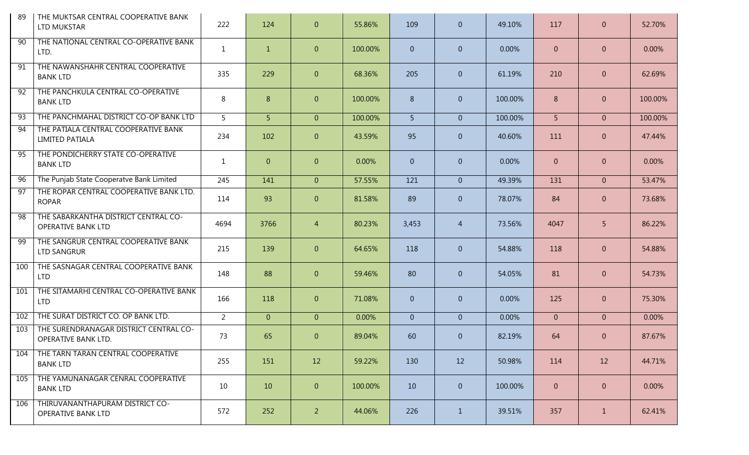| 89              | THE MUKTSAR CENTRAL COOPERATIVE BANK<br><b>LTD MUKSTAR</b>        | 222            | 124            | $\overline{0}$ | 55.86%  | 109            | $\overline{0}$ | 49.10%  | 117            | $\overline{0}$ | 52.70%  |
|-----------------|-------------------------------------------------------------------|----------------|----------------|----------------|---------|----------------|----------------|---------|----------------|----------------|---------|
| 90              | THE NATIONAL CENTRAL CO-OPERATIVE BANK<br>LTD.                    | $\mathbf{1}$   | $\mathbf{1}$   | $\overline{0}$ | 100.00% | $\overline{0}$ | $\overline{0}$ | 0.00%   | $\overline{0}$ | $\overline{0}$ | 0.00%   |
| 91              | THE NAWANSHAHR CENTRAL COOPERATIVE<br><b>BANK LTD</b>             | 335            | 229            | $\overline{0}$ | 68.36%  | 205            | $\overline{0}$ | 61.19%  | 210            | $\overline{0}$ | 62.69%  |
| $\overline{92}$ | THE PANCHKULA CENTRAL CO-OPERATIVE<br><b>BANK LTD</b>             | 8              | 8              | $\overline{0}$ | 100.00% | 8              | $\overline{0}$ | 100.00% | 8              | $\overline{0}$ | 100.00% |
| 93              | THE PANCHMAHAL DISTRICT CO-OP BANK LTD                            | 5 <sup>1</sup> | 5 <sup>1</sup> | $\overline{0}$ | 100.00% | 5 <sup>1</sup> | $\overline{0}$ | 100.00% | 5 <sup>1</sup> | $\overline{0}$ | 100.00% |
| 94              | THE PATIALA CENTRAL COOPERATIVE BANK<br><b>LIMITED PATIALA</b>    | 234            | 102            | $\overline{0}$ | 43.59%  | 95             | $\overline{0}$ | 40.60%  | 111            | $\overline{0}$ | 47.44%  |
| 95              | THE PONDICHERRY STATE CO-OPERATIVE<br><b>BANK LTD</b>             | 1              | $\overline{0}$ | $\overline{0}$ | 0.00%   | $\overline{0}$ | $\overline{0}$ | 0.00%   | $\overline{0}$ | $\overline{0}$ | 0.00%   |
| 96              | The Punjab State Cooperatve Bank Limited                          | 245            | 141            | $\overline{0}$ | 57.55%  | 121            | $\overline{0}$ | 49.39%  | 131            | $\overline{0}$ | 53.47%  |
| 97              | THE ROPAR CENTRAL COOPERATIVE BANK LTD.<br><b>ROPAR</b>           | 114            | 93             | $\overline{0}$ | 81.58%  | 89             | $\overline{0}$ | 78.07%  | 84             | $\overline{0}$ | 73.68%  |
| $\overline{98}$ | THE SABARKANTHA DISTRICT CENTRAL CO-<br><b>OPERATIVE BANK LTD</b> | 4694           | 3766           | $\overline{4}$ | 80.23%  | 3,453          | $\overline{4}$ | 73.56%  | 4047           | 5              | 86.22%  |
| 99              | THE SANGRUR CENTRAL COOPERATIVE BANK<br>LTD SANGRUR               | 215            | 139            | $\overline{0}$ | 64.65%  | 118            | $\overline{0}$ | 54.88%  | 118            | $\overline{0}$ | 54.88%  |
| 100             | THE SASNAGAR CENTRAL COOPERATIVE BANK<br><b>LTD</b>               | 148            | 88             | $\overline{0}$ | 59.46%  | 80             | $\overline{0}$ | 54.05%  | 81             | $\overline{0}$ | 54.73%  |
| 101             | THE SITAMARHI CENTRAL CO-OPERATIVE BANK<br><b>LTD</b>             | 166            | 118            | $\overline{0}$ | 71.08%  | $\overline{0}$ | $\overline{0}$ | 0.00%   | 125            | $\overline{0}$ | 75.30%  |
| 102             | THE SURAT DISTRICT CO. OP BANK LTD.                               | $\overline{2}$ | $\overline{0}$ | $\overline{0}$ | 0.00%   | $\overline{0}$ | $\overline{0}$ | 0.00%   | $\overline{0}$ | $\overline{0}$ | 0.00%   |
| 103             | THE SURENDRANAGAR DISTRICT CENTRAL CO-<br>OPERATIVE BANK LTD.     | 73             | 65             | $\overline{0}$ | 89.04%  | 60             | $\overline{0}$ | 82.19%  | 64             | $\Omega$       | 87.67%  |
| 104             | THE TARN TARAN CENTRAL COOPERATIVE<br><b>BANK LTD</b>             | 255            | 151            | 12             | 59.22%  | 130            | 12             | 50.98%  | 114            | 12             | 44.71%  |
| 105             | THE YAMUNANAGAR CENRAL COOPERATIVE<br><b>BANK LTD</b>             | 10             | 10             | $\overline{0}$ | 100.00% | 10             | $\overline{0}$ | 100.00% | $\overline{0}$ | $\mathbf{0}$   | 0.00%   |
| 106             | THIRUVANANTHAPURAM DISTRICT CO-<br><b>OPERATIVE BANK LTD</b>      | 572            | 252            | 2 <sup>1</sup> | 44.06%  | 226            | $\mathbf{1}$   | 39.51%  | 357            | $\mathbf{1}$   | 62.41%  |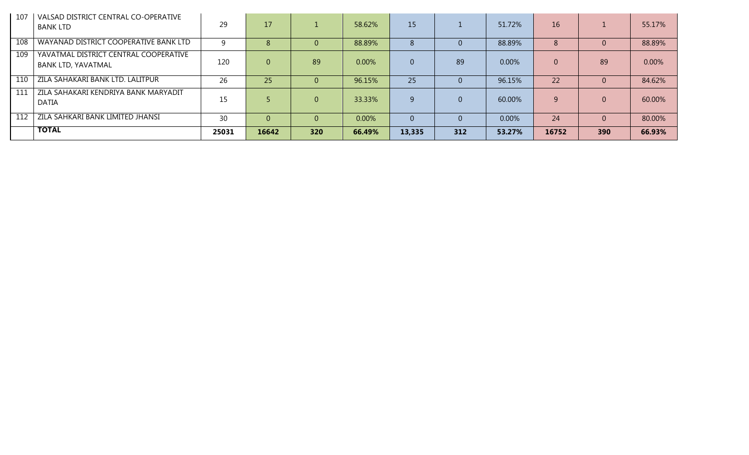| 107 | VALSAD DISTRICT CENTRAL CO-OPERATIVE<br><b>BANK LTD</b>            | 29    | 17       |          | 58.62% | 15 <sup>°</sup> |     | 51.72% | 16       |          | 55.17% |
|-----|--------------------------------------------------------------------|-------|----------|----------|--------|-----------------|-----|--------|----------|----------|--------|
| 108 | WAYANAD DISTRICT COOPERATIVE BANK LTD                              |       | 8        |          | 88.89% | 8               |     | 88.89% | 8        |          | 88.89% |
| 109 | YAVATMAL DISTRICT CENTRAL COOPERATIVE<br><b>BANK LTD, YAVATMAL</b> | 120   | $\Omega$ | 89       | 0.00%  |                 | 89  | 0.00%  | $\Omega$ | 89       | 0.00%  |
| 110 | ZILA SAHAKARI BANK LTD. LALITPUR                                   | 26    | 25       | $\Omega$ | 96.15% | 25              |     | 96.15% | 22       | $\Omega$ | 84.62% |
| 111 | ZILA SAHAKARI KENDRIYA BANK MARYADIT<br>DATIA                      | 15    |          | $\Omega$ | 33.33% | q               |     | 60.00% |          | $\Omega$ | 60.00% |
| 112 | ZILA SAHKARI BANK LIMITED JHANSI                                   | 30    |          | $\Omega$ | 0.00%  |                 |     | 0.00%  | 24       | $\Omega$ | 80.00% |
|     | <b>TOTAL</b>                                                       | 25031 | 16642    | 320      | 66.49% | 13,335          | 312 | 53.27% | 16752    | 390      | 66.93% |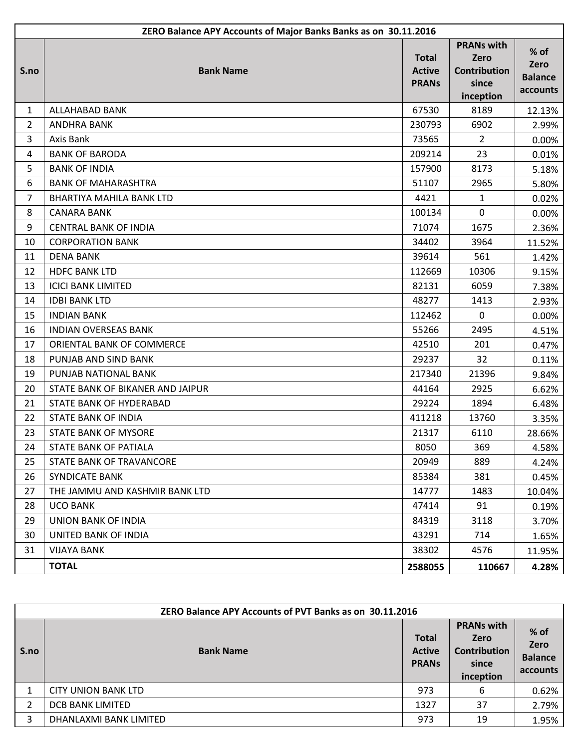|                | ZERO Balance APY Accounts of Major Banks Banks as on 30.11.2016 |                                               |                                                                        |                                              |  |  |
|----------------|-----------------------------------------------------------------|-----------------------------------------------|------------------------------------------------------------------------|----------------------------------------------|--|--|
| S.no           | <b>Bank Name</b>                                                | <b>Total</b><br><b>Active</b><br><b>PRANS</b> | <b>PRANs with</b><br>Zero<br><b>Contribution</b><br>since<br>inception | $%$ of<br>Zero<br><b>Balance</b><br>accounts |  |  |
| 1              | ALLAHABAD BANK                                                  | 67530                                         | 8189                                                                   | 12.13%                                       |  |  |
| $\overline{2}$ | <b>ANDHRA BANK</b>                                              | 230793                                        | 6902                                                                   | 2.99%                                        |  |  |
| 3              | Axis Bank                                                       | 73565                                         | 2                                                                      | 0.00%                                        |  |  |
| 4              | <b>BANK OF BARODA</b>                                           | 209214                                        | 23                                                                     | 0.01%                                        |  |  |
| 5              | <b>BANK OF INDIA</b>                                            | 157900                                        | 8173                                                                   | 5.18%                                        |  |  |
| 6              | <b>BANK OF MAHARASHTRA</b>                                      | 51107                                         | 2965                                                                   | 5.80%                                        |  |  |
| $\overline{7}$ | <b>BHARTIYA MAHILA BANK LTD</b>                                 | 4421                                          | $\mathbf{1}$                                                           | 0.02%                                        |  |  |
| 8              | <b>CANARA BANK</b>                                              | 100134                                        | $\Omega$                                                               | 0.00%                                        |  |  |
| 9              | <b>CENTRAL BANK OF INDIA</b>                                    | 71074                                         | 1675                                                                   | 2.36%                                        |  |  |
| 10             | <b>CORPORATION BANK</b>                                         | 34402                                         | 3964                                                                   | 11.52%                                       |  |  |
| 11             | <b>DENA BANK</b>                                                | 39614                                         | 561                                                                    | 1.42%                                        |  |  |
| 12             | <b>HDFC BANK LTD</b>                                            | 112669                                        | 10306                                                                  | 9.15%                                        |  |  |
| 13             | <b>ICICI BANK LIMITED</b>                                       | 82131                                         | 6059                                                                   | 7.38%                                        |  |  |
| 14             | <b>IDBI BANK LTD</b>                                            | 48277                                         | 1413                                                                   | 2.93%                                        |  |  |
| 15             | <b>INDIAN BANK</b>                                              | 112462                                        | $\Omega$                                                               | 0.00%                                        |  |  |
| 16             | <b>INDIAN OVERSEAS BANK</b>                                     | 55266                                         | 2495                                                                   | 4.51%                                        |  |  |
| 17             | ORIENTAL BANK OF COMMERCE                                       | 42510                                         | 201                                                                    | 0.47%                                        |  |  |
| 18             | PUNJAB AND SIND BANK                                            | 29237                                         | 32                                                                     | 0.11%                                        |  |  |
| 19             | PUNJAB NATIONAL BANK                                            | 217340                                        | 21396                                                                  | 9.84%                                        |  |  |
| 20             | STATE BANK OF BIKANER AND JAIPUR                                | 44164                                         | 2925                                                                   | 6.62%                                        |  |  |
| 21             | <b>STATE BANK OF HYDERABAD</b>                                  | 29224                                         | 1894                                                                   | 6.48%                                        |  |  |
| 22             | <b>STATE BANK OF INDIA</b>                                      | 411218                                        | 13760                                                                  | 3.35%                                        |  |  |
| 23             | <b>STATE BANK OF MYSORE</b>                                     | 21317                                         | 6110                                                                   | 28.66%                                       |  |  |
| 24             | STATE BANK OF PATIALA                                           | 8050                                          | 369                                                                    | 4.58%                                        |  |  |
| 25             | STATE BANK OF TRAVANCORE                                        | 20949                                         | 889                                                                    | 4.24%                                        |  |  |
| 26             | <b>SYNDICATE BANK</b>                                           | 85384                                         | 381                                                                    | 0.45%                                        |  |  |
| 27             | THE JAMMU AND KASHMIR BANK LTD                                  | 14777                                         | 1483                                                                   | 10.04%                                       |  |  |
| 28             | <b>UCO BANK</b>                                                 | 47414                                         | 91                                                                     | 0.19%                                        |  |  |
| 29             | <b>UNION BANK OF INDIA</b>                                      | 84319                                         | 3118                                                                   | 3.70%                                        |  |  |
| 30             | UNITED BANK OF INDIA                                            | 43291                                         | 714                                                                    | 1.65%                                        |  |  |
| 31             | <b>VIJAYA BANK</b>                                              | 38302                                         | 4576                                                                   | 11.95%                                       |  |  |
|                | <b>TOTAL</b>                                                    | 2588055                                       | 110667                                                                 | 4.28%                                        |  |  |

|                | ZERO Balance APY Accounts of PVT Banks as on 30.11.2016 |                                               |                                                                        |                                            |  |  |
|----------------|---------------------------------------------------------|-----------------------------------------------|------------------------------------------------------------------------|--------------------------------------------|--|--|
| S.no           | <b>Bank Name</b>                                        | <b>Total</b><br><b>Active</b><br><b>PRANS</b> | <b>PRANs with</b><br><b>Zero</b><br>Contribution<br>since<br>inception | % of<br>Zero<br><b>Balance</b><br>accounts |  |  |
|                | CITY UNION BANK LTD                                     | 973                                           | 6                                                                      | 0.62%                                      |  |  |
| $\overline{2}$ | <b>DCB BANK LIMITED</b>                                 | 1327                                          | 37                                                                     | 2.79%                                      |  |  |
| 3              | DHANLAXMI BANK LIMITED                                  | 973                                           | 19                                                                     | 1.95%                                      |  |  |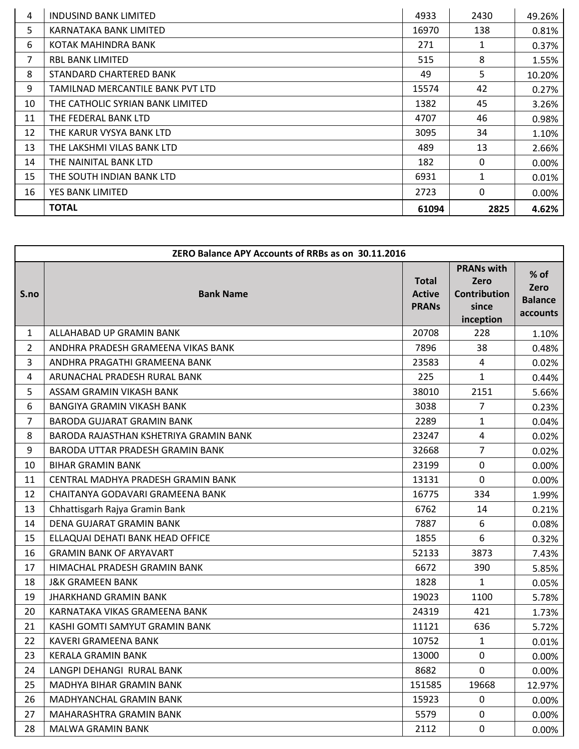| 4  | INDUSIND BANK LIMITED            | 4933  | 2430         | 49.26% |
|----|----------------------------------|-------|--------------|--------|
| 5  | KARNATAKA BANK LIMITED           | 16970 | 138          | 0.81%  |
| 6  | KOTAK MAHINDRA BANK              | 271   | 1            | 0.37%  |
| 7  | <b>RBL BANK LIMITED</b>          | 515   | 8            | 1.55%  |
| 8  | STANDARD CHARTERED BANK          | 49    | 5            | 10.20% |
| 9  | TAMILNAD MERCANTILE BANK PVT LTD | 15574 | 42           | 0.27%  |
| 10 | THE CATHOLIC SYRIAN BANK LIMITED | 1382  | 45           | 3.26%  |
| 11 | THE FEDERAL BANK LTD             | 4707  | 46           | 0.98%  |
| 12 | THE KARUR VYSYA BANK LTD         | 3095  | 34           | 1.10%  |
| 13 | THE LAKSHMI VILAS BANK LTD       | 489   | 13           | 2.66%  |
| 14 | THE NAINITAL BANK LTD            | 182   | 0            | 0.00%  |
| 15 | THE SOUTH INDIAN BANK LTD        | 6931  | $\mathbf{1}$ | 0.01%  |
| 16 | YES BANK LIMITED                 | 2723  | 0            | 0.00%  |
|    | <b>TOTAL</b>                     | 61094 | 2825         | 4.62%  |

|                | ZERO Balance APY Accounts of RRBs as on 30.11.2016 |                                               |                                                                        |                                              |  |  |
|----------------|----------------------------------------------------|-----------------------------------------------|------------------------------------------------------------------------|----------------------------------------------|--|--|
| S.no           | <b>Bank Name</b>                                   | <b>Total</b><br><b>Active</b><br><b>PRANS</b> | <b>PRANs with</b><br>Zero<br><b>Contribution</b><br>since<br>inception | $%$ of<br>Zero<br><b>Balance</b><br>accounts |  |  |
| $\mathbf{1}$   | ALLAHABAD UP GRAMIN BANK                           | 20708                                         | 228                                                                    | 1.10%                                        |  |  |
| $\overline{2}$ | ANDHRA PRADESH GRAMEENA VIKAS BANK                 | 7896                                          | 38                                                                     | 0.48%                                        |  |  |
| 3              | ANDHRA PRAGATHI GRAMEENA BANK                      | 23583                                         | 4                                                                      | 0.02%                                        |  |  |
| 4              | ARUNACHAL PRADESH RURAL BANK                       | 225                                           | $\mathbf{1}$                                                           | 0.44%                                        |  |  |
| 5              | ASSAM GRAMIN VIKASH BANK                           | 38010                                         | 2151                                                                   | 5.66%                                        |  |  |
| 6              | BANGIYA GRAMIN VIKASH BANK                         | 3038                                          | $\overline{7}$                                                         | 0.23%                                        |  |  |
| $\overline{7}$ | <b>BARODA GUJARAT GRAMIN BANK</b>                  | 2289                                          | $\mathbf{1}$                                                           | 0.04%                                        |  |  |
| 8              | BARODA RAJASTHAN KSHETRIYA GRAMIN BANK             | 23247                                         | $\overline{4}$                                                         | 0.02%                                        |  |  |
| 9              | BARODA UTTAR PRADESH GRAMIN BANK                   | 32668                                         | $\overline{7}$                                                         | 0.02%                                        |  |  |
| 10             | <b>BIHAR GRAMIN BANK</b>                           | 23199                                         | $\mathbf 0$                                                            | 0.00%                                        |  |  |
| 11             | CENTRAL MADHYA PRADESH GRAMIN BANK                 | 13131                                         | $\mathbf 0$                                                            | 0.00%                                        |  |  |
| 12             | CHAITANYA GODAVARI GRAMEENA BANK                   | 16775                                         | 334                                                                    | 1.99%                                        |  |  |
| 13             | Chhattisgarh Rajya Gramin Bank                     | 6762                                          | 14                                                                     | 0.21%                                        |  |  |
| 14             | DENA GUJARAT GRAMIN BANK                           | 7887                                          | 6                                                                      | 0.08%                                        |  |  |
| 15             | ELLAQUAI DEHATI BANK HEAD OFFICE                   | 1855                                          | 6                                                                      | 0.32%                                        |  |  |
| 16             | <b>GRAMIN BANK OF ARYAVART</b>                     | 52133                                         | 3873                                                                   | 7.43%                                        |  |  |
| 17             | HIMACHAL PRADESH GRAMIN BANK                       | 6672                                          | 390                                                                    | 5.85%                                        |  |  |
| 18             | <b>J&amp;K GRAMEEN BANK</b>                        | 1828                                          | $\mathbf{1}$                                                           | 0.05%                                        |  |  |
| 19             | <b>JHARKHAND GRAMIN BANK</b>                       | 19023                                         | 1100                                                                   | 5.78%                                        |  |  |
| 20             | KARNATAKA VIKAS GRAMEENA BANK                      | 24319                                         | 421                                                                    | 1.73%                                        |  |  |
| 21             | KASHI GOMTI SAMYUT GRAMIN BANK                     | 11121                                         | 636                                                                    | 5.72%                                        |  |  |
| 22             | KAVERI GRAMEENA BANK                               | 10752                                         | $\mathbf{1}$                                                           | 0.01%                                        |  |  |
| 23             | <b>KERALA GRAMIN BANK</b>                          | 13000                                         | $\Omega$                                                               | $0.00\%$                                     |  |  |
| 24             | LANGPI DEHANGI RURAL BANK                          | 8682                                          | $\overline{0}$                                                         | 0.00%                                        |  |  |
| 25             | MADHYA BIHAR GRAMIN BANK                           | 151585                                        | 19668                                                                  | 12.97%                                       |  |  |
| 26             | MADHYANCHAL GRAMIN BANK                            | 15923                                         | 0                                                                      | 0.00%                                        |  |  |
| 27             | MAHARASHTRA GRAMIN BANK                            | 5579                                          | 0                                                                      | $0.00\%$                                     |  |  |
| 28             | MALWA GRAMIN BANK                                  | 2112                                          | $\mathbf 0$                                                            | 0.00%                                        |  |  |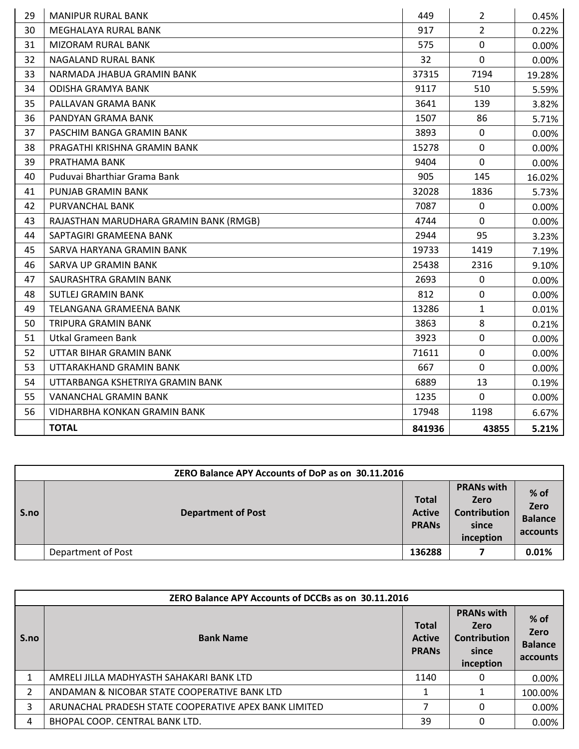| 29 | <b>MANIPUR RURAL BANK</b>              | 449    | $\overline{2}$ | 0.45%  |
|----|----------------------------------------|--------|----------------|--------|
| 30 | MEGHALAYA RURAL BANK                   | 917    | $\overline{2}$ | 0.22%  |
| 31 | <b>MIZORAM RURAL BANK</b>              | 575    | $\mathbf{0}$   | 0.00%  |
| 32 | <b>NAGALAND RURAL BANK</b>             | 32     | $\mathbf{0}$   | 0.00%  |
| 33 | NARMADA JHABUA GRAMIN BANK             | 37315  | 7194           | 19.28% |
| 34 | <b>ODISHA GRAMYA BANK</b>              | 9117   | 510            | 5.59%  |
| 35 | PALLAVAN GRAMA BANK                    | 3641   | 139            | 3.82%  |
| 36 | PANDYAN GRAMA BANK                     | 1507   | 86             | 5.71%  |
| 37 | PASCHIM BANGA GRAMIN BANK              | 3893   | $\mathbf 0$    | 0.00%  |
| 38 | PRAGATHI KRISHNA GRAMIN BANK           | 15278  | $\mathbf{0}$   | 0.00%  |
| 39 | PRATHAMA BANK                          | 9404   | $\mathbf{0}$   | 0.00%  |
| 40 | Puduvai Bharthiar Grama Bank           | 905    | 145            | 16.02% |
| 41 | PUNJAB GRAMIN BANK                     | 32028  | 1836           | 5.73%  |
| 42 | PURVANCHAL BANK                        | 7087   | $\mathbf 0$    | 0.00%  |
| 43 | RAJASTHAN MARUDHARA GRAMIN BANK (RMGB) | 4744   | $\Omega$       | 0.00%  |
| 44 | SAPTAGIRI GRAMEENA BANK                | 2944   | 95             | 3.23%  |
| 45 | SARVA HARYANA GRAMIN BANK              | 19733  | 1419           | 7.19%  |
| 46 | <b>SARVA UP GRAMIN BANK</b>            | 25438  | 2316           | 9.10%  |
| 47 | SAURASHTRA GRAMIN BANK                 | 2693   | $\mathbf 0$    | 0.00%  |
| 48 | <b>SUTLEJ GRAMIN BANK</b>              | 812    | $\mathbf 0$    | 0.00%  |
| 49 | <b>TELANGANA GRAMEENA BANK</b>         | 13286  | $\mathbf{1}$   | 0.01%  |
| 50 | TRIPURA GRAMIN BANK                    | 3863   | 8              | 0.21%  |
| 51 | <b>Utkal Grameen Bank</b>              | 3923   | $\mathbf 0$    | 0.00%  |
| 52 | UTTAR BIHAR GRAMIN BANK                | 71611  | $\mathbf{0}$   | 0.00%  |
| 53 | UTTARAKHAND GRAMIN BANK                | 667    | $\mathbf 0$    | 0.00%  |
| 54 | UTTARBANGA KSHETRIYA GRAMIN BANK       | 6889   | 13             | 0.19%  |
| 55 | <b>VANANCHAL GRAMIN BANK</b>           | 1235   | $\mathbf{0}$   | 0.00%  |
| 56 | VIDHARBHA KONKAN GRAMIN BANK           | 17948  | 1198           | 6.67%  |
|    | <b>TOTAL</b>                           | 841936 | 43855          | 5.21%  |

|      | ZERO Balance APY Accounts of DoP as on 30.11.2016 |                                               |                                                                        |                                              |  |  |  |
|------|---------------------------------------------------|-----------------------------------------------|------------------------------------------------------------------------|----------------------------------------------|--|--|--|
| S.no | <b>Department of Post</b>                         | <b>Total</b><br><b>Active</b><br><b>PRANS</b> | <b>PRANs with</b><br>Zero<br><b>Contribution</b><br>since<br>inception | $%$ of<br>Zero<br><b>Balance</b><br>accounts |  |  |  |
|      | Department of Post                                | 136288                                        |                                                                        | 0.01%                                        |  |  |  |

|                | ZERO Balance APY Accounts of DCCBs as on 30.11.2016   |                                               |                                                                        |                                              |  |  |
|----------------|-------------------------------------------------------|-----------------------------------------------|------------------------------------------------------------------------|----------------------------------------------|--|--|
| S.no           | <b>Bank Name</b>                                      | <b>Total</b><br><b>Active</b><br><b>PRANS</b> | <b>PRANs with</b><br>Zero<br><b>Contribution</b><br>since<br>inception | $%$ of<br>Zero<br><b>Balance</b><br>accounts |  |  |
|                | AMRELI JILLA MADHYASTH SAHAKARI BANK LTD              | 1140                                          | 0                                                                      | $0.00\%$                                     |  |  |
| $\overline{2}$ | ANDAMAN & NICOBAR STATE COOPERATIVE BANK LTD          |                                               |                                                                        | 100.00%                                      |  |  |
| 3              | ARUNACHAL PRADESH STATE COOPERATIVE APEX BANK LIMITED | 7                                             | 0                                                                      | $0.00\%$                                     |  |  |
| 4              | BHOPAL COOP. CENTRAL BANK LTD.                        | 39                                            | 0                                                                      | 0.00%                                        |  |  |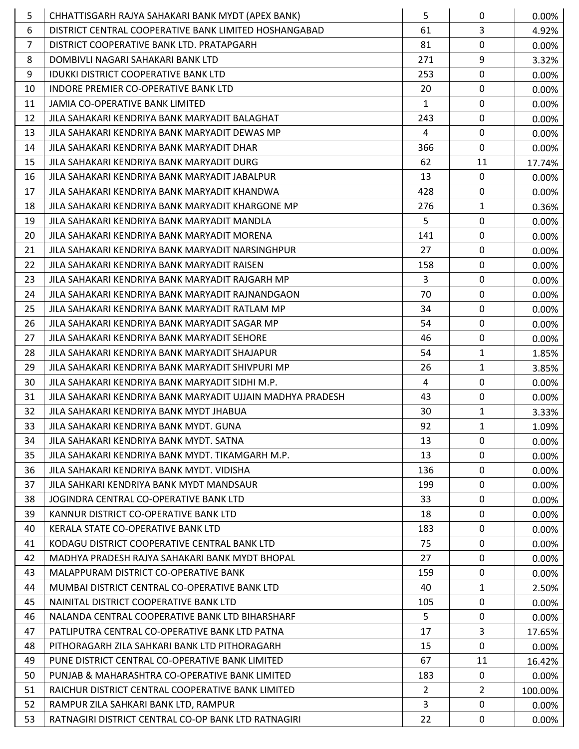| 5              | CHHATTISGARH RAJYA SAHAKARI BANK MYDT (APEX BANK)          | 5              | $\mathbf{0}$   | 0.00%    |
|----------------|------------------------------------------------------------|----------------|----------------|----------|
| 6              | DISTRICT CENTRAL COOPERATIVE BANK LIMITED HOSHANGABAD      | 61             | 3              | 4.92%    |
| $\overline{7}$ | DISTRICT COOPERATIVE BANK LTD. PRATAPGARH                  | 81             | $\mathbf 0$    | 0.00%    |
| 8              | DOMBIVLI NAGARI SAHAKARI BANK LTD                          | 271            | 9              | 3.32%    |
| 9              | IDUKKI DISTRICT COOPERATIVE BANK LTD                       | 253            | $\mathbf 0$    | 0.00%    |
| 10             | INDORE PREMIER CO-OPERATIVE BANK LTD                       | 20             | $\mathbf 0$    | 0.00%    |
| 11             | JAMIA CO-OPERATIVE BANK LIMITED                            | $\mathbf{1}$   | $\mathbf 0$    | 0.00%    |
| 12             | JILA SAHAKARI KENDRIYA BANK MARYADIT BALAGHAT              | 243            | $\mathbf 0$    | 0.00%    |
| 13             | JILA SAHAKARI KENDRIYA BANK MARYADIT DEWAS MP              | $\overline{4}$ | $\mathbf 0$    | 0.00%    |
| 14             | JILA SAHAKARI KENDRIYA BANK MARYADIT DHAR                  | 366            | $\mathbf 0$    | 0.00%    |
| 15             | JILA SAHAKARI KENDRIYA BANK MARYADIT DURG                  | 62             | 11             | 17.74%   |
| 16             | JILA SAHAKARI KENDRIYA BANK MARYADIT JABALPUR              | 13             | $\mathbf 0$    | 0.00%    |
| 17             | JILA SAHAKARI KENDRIYA BANK MARYADIT KHANDWA               | 428            | $\mathbf 0$    | 0.00%    |
| 18             | JILA SAHAKARI KENDRIYA BANK MARYADIT KHARGONE MP           | 276            | $\mathbf{1}$   | 0.36%    |
| 19             | JILA SAHAKARI KENDRIYA BANK MARYADIT MANDLA                | 5              | $\mathbf 0$    | 0.00%    |
| 20             | JILA SAHAKARI KENDRIYA BANK MARYADIT MORENA                | 141            | $\mathbf 0$    | 0.00%    |
| 21             | JILA SAHAKARI KENDRIYA BANK MARYADIT NARSINGHPUR           | 27             | $\mathbf{0}$   | 0.00%    |
| 22             | JILA SAHAKARI KENDRIYA BANK MARYADIT RAISEN                | 158            | $\mathbf 0$    | 0.00%    |
| 23             | JILA SAHAKARI KENDRIYA BANK MARYADIT RAJGARH MP            | 3              | $\mathbf 0$    | 0.00%    |
| 24             | JILA SAHAKARI KENDRIYA BANK MARYADIT RAJNANDGAON           | 70             | 0              | 0.00%    |
| 25             | JILA SAHAKARI KENDRIYA BANK MARYADIT RATLAM MP             | 34             | $\mathbf 0$    | 0.00%    |
| 26             | JILA SAHAKARI KENDRIYA BANK MARYADIT SAGAR MP              | 54             | $\mathbf 0$    | 0.00%    |
| 27             | JILA SAHAKARI KENDRIYA BANK MARYADIT SEHORE                | 46             | 0              | $0.00\%$ |
| 28             | JILA SAHAKARI KENDRIYA BANK MARYADIT SHAJAPUR              | 54             | $\mathbf{1}$   | 1.85%    |
| 29             | JILA SAHAKARI KENDRIYA BANK MARYADIT SHIVPURI MP           | 26             | $\mathbf{1}$   | 3.85%    |
| 30             | JILA SAHAKARI KENDRIYA BANK MARYADIT SIDHI M.P.            | 4              | $\mathbf 0$    | 0.00%    |
| 31             | JILA SAHAKARI KENDRIYA BANK MARYADIT UJJAIN MADHYA PRADESH | 43             | 0              | 0.00%    |
| 32             | JILA SAHAKARI KENDRIYA BANK MYDT JHABUA                    | 30             | $\mathbf{1}$   | 3.33%    |
| 33             | JILA SAHAKARI KENDRIYA BANK MYDT. GUNA                     | 92             | $\mathbf{1}$   | 1.09%    |
| 34             | JILA SAHAKARI KENDRIYA BANK MYDT. SATNA                    | 13             | $\mathbf{0}$   | 0.00%    |
| 35             | JILA SAHAKARI KENDRIYA BANK MYDT. TIKAMGARH M.P.           | 13             | $\mathbf{0}$   | $0.00\%$ |
| 36             | JILA SAHAKARI KENDRIYA BANK MYDT. VIDISHA                  | 136            | 0              | 0.00%    |
| 37             | JILA SAHKARI KENDRIYA BANK MYDT MANDSAUR                   | 199            | $\mathbf{0}$   | 0.00%    |
| 38             | JOGINDRA CENTRAL CO-OPERATIVE BANK LTD                     | 33             | $\mathbf{0}$   | 0.00%    |
| 39             | KANNUR DISTRICT CO-OPERATIVE BANK LTD                      | 18             | 0              | $0.00\%$ |
| 40             | KERALA STATE CO-OPERATIVE BANK LTD                         | 183            | $\mathbf{0}$   | 0.00%    |
| 41             | KODAGU DISTRICT COOPERATIVE CENTRAL BANK LTD               | 75             | 0              | 0.00%    |
| 42             | MADHYA PRADESH RAJYA SAHAKARI BANK MYDT BHOPAL             | 27             | 0              | $0.00\%$ |
| 43             | MALAPPURAM DISTRICT CO-OPERATIVE BANK                      | 159            | $\mathbf 0$    | 0.00%    |
| 44             | MUMBAI DISTRICT CENTRAL CO-OPERATIVE BANK LTD              | 40             | $\mathbf{1}$   | 2.50%    |
| 45             | NAINITAL DISTRICT COOPERATIVE BANK LTD                     | 105            | $\mathbf{0}$   | 0.00%    |
| 46             | NALANDA CENTRAL COOPERATIVE BANK LTD BIHARSHARF            | 5              | 0              | 0.00%    |
| 47             | PATLIPUTRA CENTRAL CO-OPERATIVE BANK LTD PATNA             | 17             | 3              | 17.65%   |
| 48             | PITHORAGARH ZILA SAHKARI BANK LTD PITHORAGARH              | 15             | 0              | 0.00%    |
| 49             | PUNE DISTRICT CENTRAL CO-OPERATIVE BANK LIMITED            | 67             | 11             | 16.42%   |
| 50             | PUNJAB & MAHARASHTRA CO-OPERATIVE BANK LIMITED             | 183            | $\mathbf 0$    | 0.00%    |
| 51             | RAICHUR DISTRICT CENTRAL COOPERATIVE BANK LIMITED          | 2              | $\overline{2}$ | 100.00%  |
| 52             | RAMPUR ZILA SAHKARI BANK LTD, RAMPUR                       | $\overline{3}$ | $\mathbf 0$    | 0.00%    |
| 53             | RATNAGIRI DISTRICT CENTRAL CO-OP BANK LTD RATNAGIRI        | 22             | 0              | $0.00\%$ |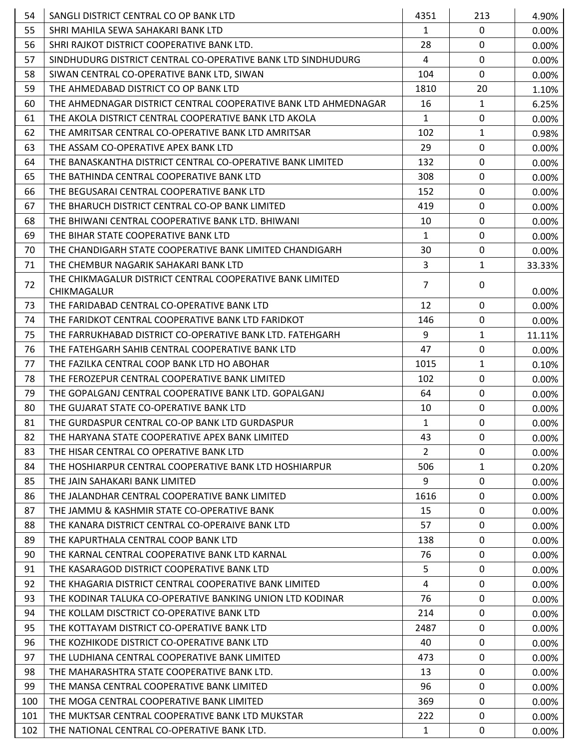| 54  | SANGLI DISTRICT CENTRAL CO OP BANK LTD                                   | 4351           | 213          | 4.90%    |
|-----|--------------------------------------------------------------------------|----------------|--------------|----------|
| 55  | SHRI MAHILA SEWA SAHAKARI BANK LTD                                       | $\mathbf{1}$   | $\mathbf 0$  | 0.00%    |
| 56  | SHRI RAJKOT DISTRICT COOPERATIVE BANK LTD.                               | 28             | $\mathbf{0}$ | 0.00%    |
| 57  | SINDHUDURG DISTRICT CENTRAL CO-OPERATIVE BANK LTD SINDHUDURG             | 4              | $\mathbf 0$  | 0.00%    |
| 58  | SIWAN CENTRAL CO-OPERATIVE BANK LTD, SIWAN                               | 104            | $\mathbf 0$  | 0.00%    |
| 59  | THE AHMEDABAD DISTRICT CO OP BANK LTD                                    | 1810           | 20           | 1.10%    |
| 60  | THE AHMEDNAGAR DISTRICT CENTRAL COOPERATIVE BANK LTD AHMEDNAGAR          | 16             | $\mathbf{1}$ | 6.25%    |
| 61  | THE AKOLA DISTRICT CENTRAL COOPERATIVE BANK LTD AKOLA                    | $\mathbf{1}$   | $\mathbf 0$  | 0.00%    |
| 62  | THE AMRITSAR CENTRAL CO-OPERATIVE BANK LTD AMRITSAR                      | 102            | $\mathbf{1}$ | 0.98%    |
| 63  | THE ASSAM CO-OPERATIVE APEX BANK LTD                                     | 29             | $\mathbf 0$  | 0.00%    |
| 64  | THE BANASKANTHA DISTRICT CENTRAL CO-OPERATIVE BANK LIMITED               | 132            | $\mathbf 0$  | 0.00%    |
| 65  | THE BATHINDA CENTRAL COOPERATIVE BANK LTD                                | 308            | $\mathbf 0$  | 0.00%    |
| 66  | THE BEGUSARAI CENTRAL COOPERATIVE BANK LTD                               | 152            | $\mathbf 0$  | 0.00%    |
| 67  | THE BHARUCH DISTRICT CENTRAL CO-OP BANK LIMITED                          | 419            | $\mathbf 0$  | 0.00%    |
| 68  | THE BHIWANI CENTRAL COOPERATIVE BANK LTD. BHIWANI                        | 10             | $\mathbf 0$  | 0.00%    |
| 69  | THE BIHAR STATE COOPERATIVE BANK LTD                                     | $\mathbf{1}$   | $\mathbf 0$  | 0.00%    |
| 70  | THE CHANDIGARH STATE COOPERATIVE BANK LIMITED CHANDIGARH                 | 30             | $\mathbf 0$  | 0.00%    |
| 71  | THE CHEMBUR NAGARIK SAHAKARI BANK LTD                                    | 3              | $\mathbf{1}$ | 33.33%   |
| 72  | THE CHIKMAGALUR DISTRICT CENTRAL COOPERATIVE BANK LIMITED<br>CHIKMAGALUR | $\overline{7}$ | $\mathbf 0$  | 0.00%    |
| 73  | THE FARIDABAD CENTRAL CO-OPERATIVE BANK LTD                              | 12             | $\mathbf 0$  | 0.00%    |
| 74  | THE FARIDKOT CENTRAL COOPERATIVE BANK LTD FARIDKOT                       | 146            | $\mathbf 0$  | 0.00%    |
| 75  | THE FARRUKHABAD DISTRICT CO-OPERATIVE BANK LTD. FATEHGARH                | 9              | $\mathbf{1}$ | 11.11%   |
| 76  | THE FATEHGARH SAHIB CENTRAL COOPERATIVE BANK LTD                         | 47             | $\mathbf 0$  | 0.00%    |
| 77  | THE FAZILKA CENTRAL COOP BANK LTD HO ABOHAR                              | 1015           | $\mathbf{1}$ | 0.10%    |
| 78  | THE FEROZEPUR CENTRAL COOPERATIVE BANK LIMITED                           | 102            | $\mathbf 0$  | 0.00%    |
| 79  | THE GOPALGANJ CENTRAL COOPERATIVE BANK LTD. GOPALGANJ                    | 64             | $\mathbf 0$  | 0.00%    |
| 80  | THE GUJARAT STATE CO-OPERATIVE BANK LTD                                  | 10             | $\mathbf 0$  | 0.00%    |
| 81  | THE GURDASPUR CENTRAL CO-OP BANK LTD GURDASPUR                           | $\mathbf{1}$   | $\mathbf 0$  | 0.00%    |
| 82  | THE HARYANA STATE COOPERATIVE APEX BANK LIMITED                          | 43             | 0            | 0.00%    |
| 83  | THE HISAR CENTRAL CO OPERATIVE BANK LTD                                  | 2              | 0            | 0.00%    |
| 84  | THE HOSHIARPUR CENTRAL COOPERATIVE BANK LTD HOSHIARPUR                   | 506            | $\mathbf{1}$ | 0.20%    |
| 85  | THE JAIN SAHAKARI BANK LIMITED                                           | 9              | $\mathbf{0}$ | 0.00%    |
| 86  | THE JALANDHAR CENTRAL COOPERATIVE BANK LIMITED                           | 1616           | 0            | $0.00\%$ |
| 87  | THE JAMMU & KASHMIR STATE CO-OPERATIVE BANK                              | 15             | $\mathbf{0}$ | 0.00%    |
| 88  | THE KANARA DISTRICT CENTRAL CO-OPERAIVE BANK LTD                         | 57             | 0            | 0.00%    |
| 89  | THE KAPURTHALA CENTRAL COOP BANK LTD                                     | 138            | $\mathbf{0}$ | 0.00%    |
| 90  | THE KARNAL CENTRAL COOPERATIVE BANK LTD KARNAL                           | 76             | $\mathbf 0$  | 0.00%    |
| 91  | THE KASARAGOD DISTRICT COOPERATIVE BANK LTD                              | 5              | 0            | $0.00\%$ |
| 92  | THE KHAGARIA DISTRICT CENTRAL COOPERATIVE BANK LIMITED                   | 4              | $\mathbf{0}$ | $0.00\%$ |
| 93  | THE KODINAR TALUKA CO-OPERATIVE BANKING UNION LTD KODINAR                | 76             | 0            | $0.00\%$ |
| 94  | THE KOLLAM DISCTRICT CO-OPERATIVE BANK LTD                               | 214            | $\mathbf 0$  | 0.00%    |
| 95  | THE KOTTAYAM DISTRICT CO-OPERATIVE BANK LTD                              | 2487           | 0            | $0.00\%$ |
| 96  | THE KOZHIKODE DISTRICT CO-OPERATIVE BANK LTD                             | 40             | $\mathbf{0}$ | 0.00%    |
| 97  | THE LUDHIANA CENTRAL COOPERATIVE BANK LIMITED                            | 473            | $\mathbf{0}$ | 0.00%    |
| 98  | THE MAHARASHTRA STATE COOPERATIVE BANK LTD.                              | 13             | 0            | $0.00\%$ |
| 99  | THE MANSA CENTRAL COOPERATIVE BANK LIMITED                               | 96             | $\mathbf{0}$ | 0.00%    |
| 100 | THE MOGA CENTRAL COOPERATIVE BANK LIMITED                                | 369            | 0            | 0.00%    |
| 101 | THE MUKTSAR CENTRAL COOPERATIVE BANK LTD MUKSTAR                         | 222            | 0            | $0.00\%$ |
| 102 | THE NATIONAL CENTRAL CO-OPERATIVE BANK LTD.                              | $\mathbf{1}$   | 0            | 0.00%    |